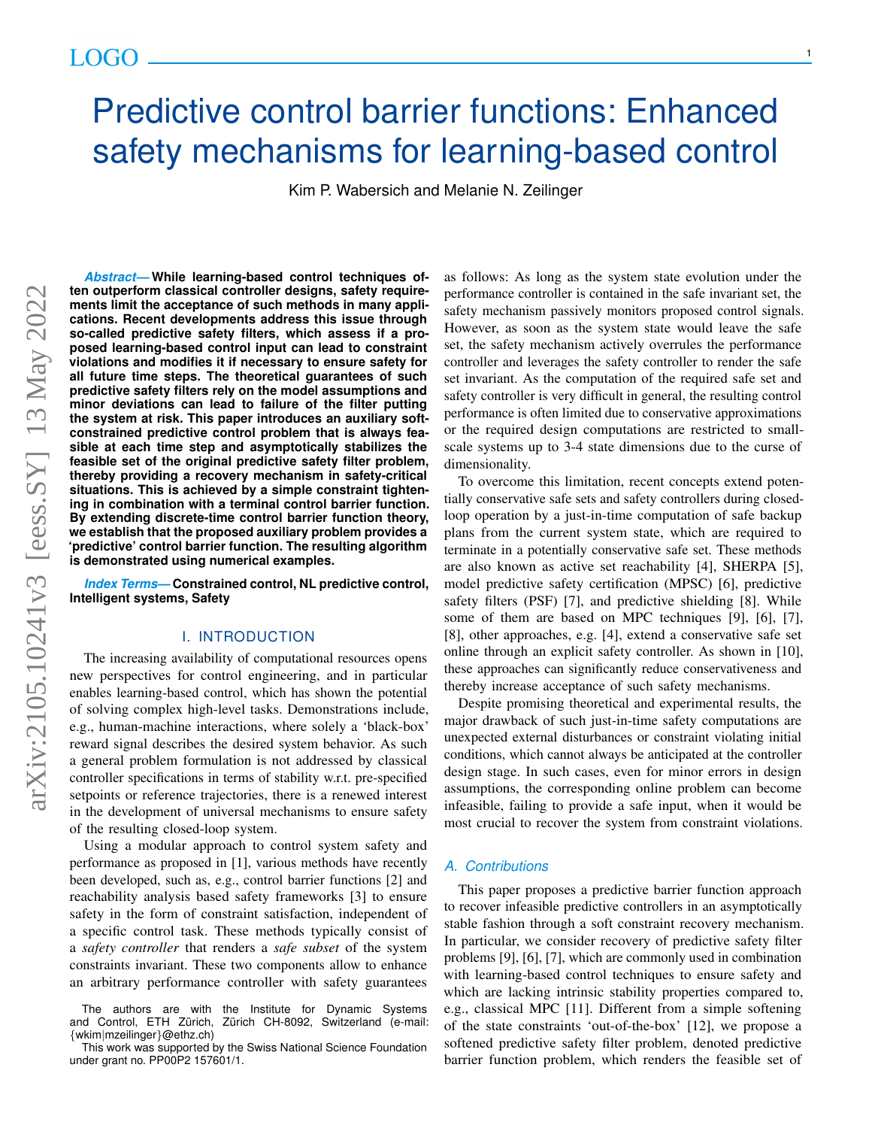# Predictive control barrier functions: Enhanced safety mechanisms for learning-based control

Kim P. Wabersich and Melanie N. Zeilinger

*Abstract***— While learning-based control techniques often outperform classical controller designs, safety requirements limit the acceptance of such methods in many applications. Recent developments address this issue through so-called predictive safety filters, which assess if a proposed learning-based control input can lead to constraint violations and modifies it if necessary to ensure safety for all future time steps. The theoretical guarantees of such predictive safety filters rely on the model assumptions and minor deviations can lead to failure of the filter putting the system at risk. This paper introduces an auxiliary softconstrained predictive control problem that is always feasible at each time step and asymptotically stabilizes the feasible set of the original predictive safety filter problem, thereby providing a recovery mechanism in safety-critical situations. This is achieved by a simple constraint tightening in combination with a terminal control barrier function. By extending discrete-time control barrier function theory, we establish that the proposed auxiliary problem provides a 'predictive' control barrier function. The resulting algorithm is demonstrated using numerical examples.**

*Index Terms***— Constrained control, NL predictive control, Intelligent systems, Safety**

## I. INTRODUCTION

The increasing availability of computational resources opens new perspectives for control engineering, and in particular enables learning-based control, which has shown the potential of solving complex high-level tasks. Demonstrations include, e.g., human-machine interactions, where solely a 'black-box' reward signal describes the desired system behavior. As such a general problem formulation is not addressed by classical controller specifications in terms of stability w.r.t. pre-specified setpoints or reference trajectories, there is a renewed interest in the development of universal mechanisms to ensure safety of the resulting closed-loop system.

Using a modular approach to control system safety and performance as proposed in [1], various methods have recently been developed, such as, e.g., control barrier functions [2] and reachability analysis based safety frameworks [3] to ensure safety in the form of constraint satisfaction, independent of a specific control task. These methods typically consist of a *safety controller* that renders a *safe subset* of the system constraints invariant. These two components allow to enhance an arbitrary performance controller with safety guarantees

The authors are with the Institute for Dynamic Systems<br>and Control, ETH Zürich, Zürich CH-8092, Switzerland (e-mail) Zürich CH-8092, Switzerland (e-mail: {wkim|mzeilinger}@ethz.ch)

This work was supported by the Swiss National Science Foundation under grant no. PP00P2 157601/1.

as follows: As long as the system state evolution under the performance controller is contained in the safe invariant set, the safety mechanism passively monitors proposed control signals. However, as soon as the system state would leave the safe set, the safety mechanism actively overrules the performance controller and leverages the safety controller to render the safe set invariant. As the computation of the required safe set and safety controller is very difficult in general, the resulting control performance is often limited due to conservative approximations or the required design computations are restricted to smallscale systems up to 3-4 state dimensions due to the curse of dimensionality.

To overcome this limitation, recent concepts extend potentially conservative safe sets and safety controllers during closedloop operation by a just-in-time computation of safe backup plans from the current system state, which are required to terminate in a potentially conservative safe set. These methods are also known as active set reachability [4], SHERPA [5], model predictive safety certification (MPSC) [6], predictive safety filters (PSF) [7], and predictive shielding [8]. While some of them are based on MPC techniques [9], [6], [7], [8], other approaches, e.g. [4], extend a conservative safe set online through an explicit safety controller. As shown in [10], these approaches can significantly reduce conservativeness and thereby increase acceptance of such safety mechanisms.

Despite promising theoretical and experimental results, the major drawback of such just-in-time safety computations are unexpected external disturbances or constraint violating initial conditions, which cannot always be anticipated at the controller design stage. In such cases, even for minor errors in design assumptions, the corresponding online problem can become infeasible, failing to provide a safe input, when it would be most crucial to recover the system from constraint violations.

## *A. Contributions*

This paper proposes a predictive barrier function approach to recover infeasible predictive controllers in an asymptotically stable fashion through a soft constraint recovery mechanism. In particular, we consider recovery of predictive safety filter problems [9], [6], [7], which are commonly used in combination with learning-based control techniques to ensure safety and which are lacking intrinsic stability properties compared to, e.g., classical MPC [11]. Different from a simple softening of the state constraints 'out-of-the-box' [12], we propose a softened predictive safety filter problem, denoted predictive barrier function problem, which renders the feasible set of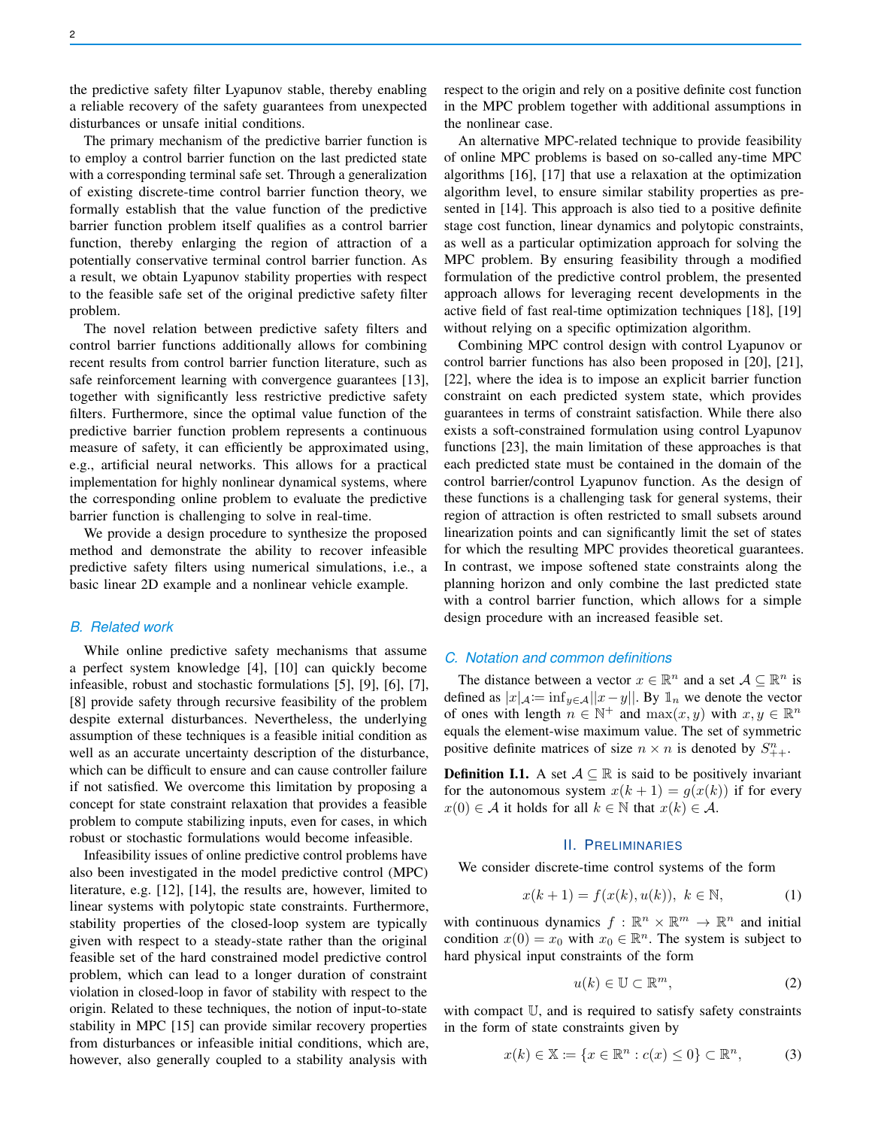the predictive safety filter Lyapunov stable, thereby enabling a reliable recovery of the safety guarantees from unexpected disturbances or unsafe initial conditions.

The primary mechanism of the predictive barrier function is to employ a control barrier function on the last predicted state with a corresponding terminal safe set. Through a generalization of existing discrete-time control barrier function theory, we formally establish that the value function of the predictive barrier function problem itself qualifies as a control barrier function, thereby enlarging the region of attraction of a potentially conservative terminal control barrier function. As a result, we obtain Lyapunov stability properties with respect to the feasible safe set of the original predictive safety filter problem.

The novel relation between predictive safety filters and control barrier functions additionally allows for combining recent results from control barrier function literature, such as safe reinforcement learning with convergence guarantees [13], together with significantly less restrictive predictive safety filters. Furthermore, since the optimal value function of the predictive barrier function problem represents a continuous measure of safety, it can efficiently be approximated using, e.g., artificial neural networks. This allows for a practical implementation for highly nonlinear dynamical systems, where the corresponding online problem to evaluate the predictive barrier function is challenging to solve in real-time.

We provide a design procedure to synthesize the proposed method and demonstrate the ability to recover infeasible predictive safety filters using numerical simulations, i.e., a basic linear 2D example and a nonlinear vehicle example.

#### *B. Related work*

While online predictive safety mechanisms that assume a perfect system knowledge [4], [10] can quickly become infeasible, robust and stochastic formulations [5], [9], [6], [7], [8] provide safety through recursive feasibility of the problem despite external disturbances. Nevertheless, the underlying assumption of these techniques is a feasible initial condition as well as an accurate uncertainty description of the disturbance, which can be difficult to ensure and can cause controller failure if not satisfied. We overcome this limitation by proposing a concept for state constraint relaxation that provides a feasible problem to compute stabilizing inputs, even for cases, in which robust or stochastic formulations would become infeasible.

Infeasibility issues of online predictive control problems have also been investigated in the model predictive control (MPC) literature, e.g. [12], [14], the results are, however, limited to linear systems with polytopic state constraints. Furthermore, stability properties of the closed-loop system are typically given with respect to a steady-state rather than the original feasible set of the hard constrained model predictive control problem, which can lead to a longer duration of constraint violation in closed-loop in favor of stability with respect to the origin. Related to these techniques, the notion of input-to-state stability in MPC [15] can provide similar recovery properties from disturbances or infeasible initial conditions, which are, however, also generally coupled to a stability analysis with

respect to the origin and rely on a positive definite cost function in the MPC problem together with additional assumptions in the nonlinear case.

An alternative MPC-related technique to provide feasibility of online MPC problems is based on so-called any-time MPC algorithms [16], [17] that use a relaxation at the optimization algorithm level, to ensure similar stability properties as presented in [14]. This approach is also tied to a positive definite stage cost function, linear dynamics and polytopic constraints, as well as a particular optimization approach for solving the MPC problem. By ensuring feasibility through a modified formulation of the predictive control problem, the presented approach allows for leveraging recent developments in the active field of fast real-time optimization techniques [18], [19] without relying on a specific optimization algorithm.

Combining MPC control design with control Lyapunov or control barrier functions has also been proposed in [20], [21], [22], where the idea is to impose an explicit barrier function constraint on each predicted system state, which provides guarantees in terms of constraint satisfaction. While there also exists a soft-constrained formulation using control Lyapunov functions [23], the main limitation of these approaches is that each predicted state must be contained in the domain of the control barrier/control Lyapunov function. As the design of these functions is a challenging task for general systems, their region of attraction is often restricted to small subsets around linearization points and can significantly limit the set of states for which the resulting MPC provides theoretical guarantees. In contrast, we impose softened state constraints along the planning horizon and only combine the last predicted state with a control barrier function, which allows for a simple design procedure with an increased feasible set.

## *C. Notation and common definitions*

The distance between a vector  $x \in \mathbb{R}^n$  and a set  $A \subseteq \mathbb{R}^n$  is defined as  $|x|_{\mathcal{A}}:=\inf_{y\in\mathcal{A}}||x-y||$ . By  $\mathbb{1}_n$  we denote the vector of ones with length  $n \in \mathbb{N}^+$  and  $\max(x, y)$  with  $x, y \in \mathbb{R}^n$ equals the element-wise maximum value. The set of symmetric positive definite matrices of size  $n \times n$  is denoted by  $S_{++}^n$ .

**Definition I.1.** A set  $A \subseteq \mathbb{R}$  is said to be positively invariant for the autonomous system  $x(k + 1) = g(x(k))$  if for every  $x(0) \in \mathcal{A}$  it holds for all  $k \in \mathbb{N}$  that  $x(k) \in \mathcal{A}$ .

## II. PRELIMINARIES

We consider discrete-time control systems of the form

$$
x(k + 1) = f(x(k), u(k)), \ k \in \mathbb{N},
$$
 (1)

with continuous dynamics  $f: \mathbb{R}^n \times \mathbb{R}^m \to \mathbb{R}^n$  and initial condition  $x(0) = x_0$  with  $x_0 \in \mathbb{R}^n$ . The system is subject to hard physical input constraints of the form

$$
u(k) \in \mathbb{U} \subset \mathbb{R}^m,\tag{2}
$$

with compact U, and is required to satisfy safety constraints in the form of state constraints given by

$$
x(k) \in \mathbb{X} \coloneqq \{x \in \mathbb{R}^n : c(x) \le 0\} \subset \mathbb{R}^n,\tag{3}
$$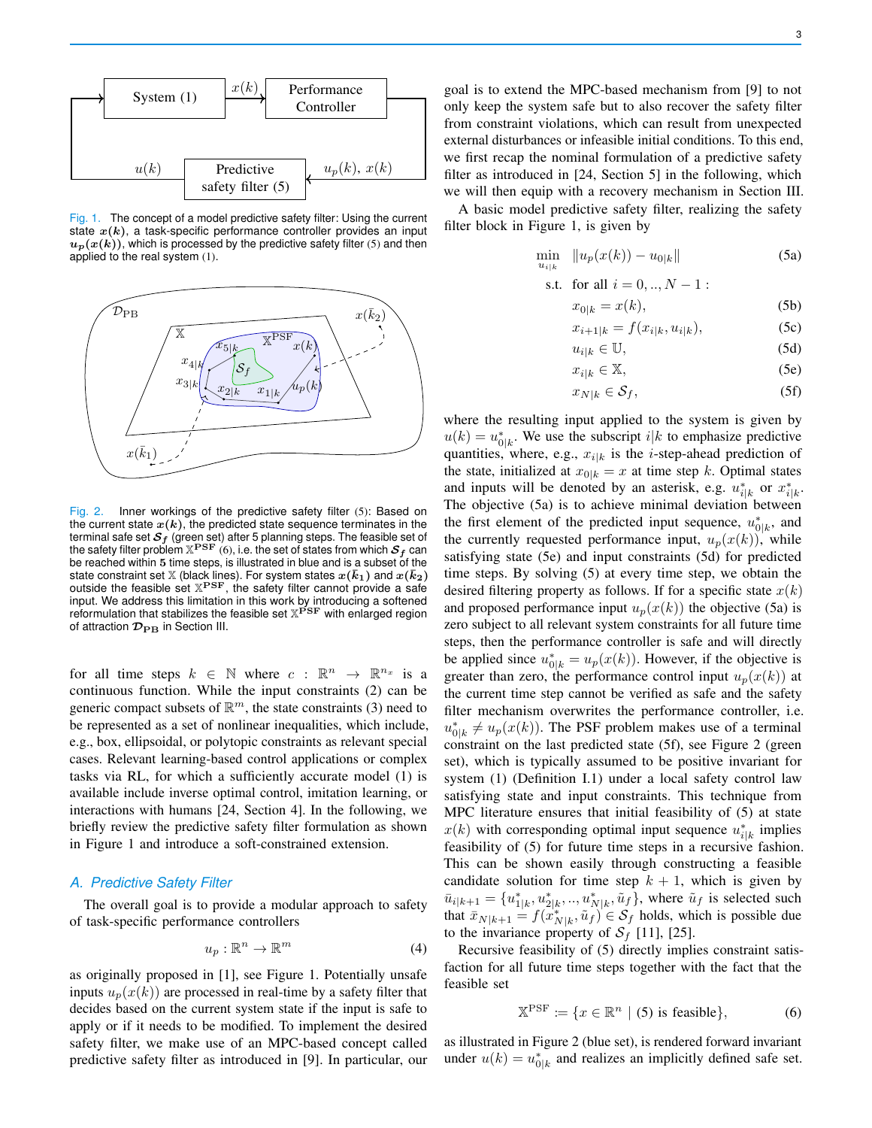Fig. 1. The concept of a model predictive safety filter: Using the current state  $x(k)$ , a task-specific performance controller provides an input  $u_p(x(k))$ , which is processed by the predictive safety filter (5) and then applied to the real system (1).



Fig. 2. Inner workings of the predictive safety filter (5): Based on the current state  $x(k)$ , the predicted state sequence terminates in the terminal safe set  $S_f$  (green set) after 5 planning steps. The feasible set of the safety filter problem  $\mathbb{X}^{\mathbf{P}\mathbf{S}\mathbf{F}}$  (6), i.e. the set of states from which  $\mathcal{S}_f$  can be reached within 5 time steps, is illustrated in blue and is a subset of the state constraint set X (black lines). For system states  $x(\bar{k}_1)$  and  $x(\bar{k}_2)$ outside the feasible set  $X^{PSF}$ , the safety filter cannot provide a safe input. We address this limitation in this work by introducing a softened<br>reformulation that stabilizes the feasible set  $\mathbb{X}^{\texttt{PSF}}$  with enlarged region of attraction  $\mathcal{D}_{\text{PB}}$  in Section III.

for all time steps  $k \in \mathbb{N}$  where  $c : \mathbb{R}^n \to \mathbb{R}^{n_x}$  is a continuous function. While the input constraints (2) can be generic compact subsets of  $\mathbb{R}^m$ , the state constraints (3) need to be represented as a set of nonlinear inequalities, which include, e.g., box, ellipsoidal, or polytopic constraints as relevant special cases. Relevant learning-based control applications or complex tasks via RL, for which a sufficiently accurate model (1) is available include inverse optimal control, imitation learning, or interactions with humans [24, Section 4]. In the following, we briefly review the predictive safety filter formulation as shown in Figure 1 and introduce a soft-constrained extension.

## *A. Predictive Safety Filter*

The overall goal is to provide a modular approach to safety of task-specific performance controllers

$$
u_p: \mathbb{R}^n \to \mathbb{R}^m \tag{4}
$$

as originally proposed in [1], see Figure 1. Potentially unsafe inputs  $u_p(x(k))$  are processed in real-time by a safety filter that decides based on the current system state if the input is safe to apply or if it needs to be modified. To implement the desired safety filter, we make use of an MPC-based concept called predictive safety filter as introduced in [9]. In particular, our

goal is to extend the MPC-based mechanism from [9] to not only keep the system safe but to also recover the safety filter from constraint violations, which can result from unexpected external disturbances or infeasible initial conditions. To this end, we first recap the nominal formulation of a predictive safety filter as introduced in [24, Section 5] in the following, which

we will then equip with a recovery mechanism in Section III. A basic model predictive safety filter, realizing the safety filter block in Figure 1, is given by

$$
\min_{u_{i|k}} \|u_p(x(k)) - u_{0|k}\|
$$
\n(5a)

s.t. for all 
$$
i = 0, ..., N - 1
$$
:

$$
x_{0|k} = x(k),\tag{5b}
$$

$$
x_{i+1|k} = f(x_{i|k}, u_{i|k}),
$$
 (5c)

$$
u_{i|k} \in \mathbb{U},\tag{5d}
$$

$$
x_{i|k} \in \mathbb{X},\tag{5e}
$$

$$
x_{N|k} \in \mathcal{S}_f,\tag{5f}
$$

where the resulting input applied to the system is given by  $u(k) = u_{0|k}^*$ . We use the subscript  $i|k$  to emphasize predictive quantities, where, e.g.,  $x_{i|k}$  is the *i*-step-ahead prediction of the state, initialized at  $x_{0|k} = x$  at time step k. Optimal states and inputs will be denoted by an asterisk, e.g.  $u_{i|k}^*$  or  $x_{i|k}^*$ . The objective (5a) is to achieve minimal deviation between the first element of the predicted input sequence,  $u_{0|k}^*$ , and the currently requested performance input,  $u_p(x(k))$ , while satisfying state (5e) and input constraints (5d) for predicted time steps. By solving (5) at every time step, we obtain the desired filtering property as follows. If for a specific state  $x(k)$ and proposed performance input  $u_p(x(k))$  the objective (5a) is zero subject to all relevant system constraints for all future time steps, then the performance controller is safe and will directly be applied since  $u_{0|k}^* = u_p(x(k))$ . However, if the objective is greater than zero, the performance control input  $u_p(x(k))$  at the current time step cannot be verified as safe and the safety filter mechanism overwrites the performance controller, i.e.  $u_{0|k}^* \neq u_p(x(k))$ . The PSF problem makes use of a terminal constraint on the last predicted state (5f), see Figure 2 (green set), which is typically assumed to be positive invariant for system (1) (Definition I.1) under a local safety control law satisfying state and input constraints. This technique from MPC literature ensures that initial feasibility of (5) at state  $x(k)$  with corresponding optimal input sequence  $u_{i|k}^*$  implies feasibility of (5) for future time steps in a recursive fashion. This can be shown easily through constructing a feasible candidate solution for time step  $k + 1$ , which is given by  $\bar{u}_{i|k+1} = \{u_{1|k}^*, u_{2|k}^*, ..., u_{N|k}^*, \tilde{u}_f\}$ , where  $\tilde{u}_f$  is selected such that  $\bar{x}_{N|k+1} = f(x_{N|k}^*, \tilde{u}_f) \in S_f$  holds, which is possible due to the invariance property of  $S_f$  [11], [25].

Recursive feasibility of (5) directly implies constraint satisfaction for all future time steps together with the fact that the feasible set

$$
\mathbb{X}^{\text{PSF}} \coloneqq \{ x \in \mathbb{R}^n \mid (5) \text{ is feasible} \},\tag{6}
$$

as illustrated in Figure 2 (blue set), is rendered forward invariant under  $u(k) = u_{0|k}^*$  and realizes an implicitly defined safe set.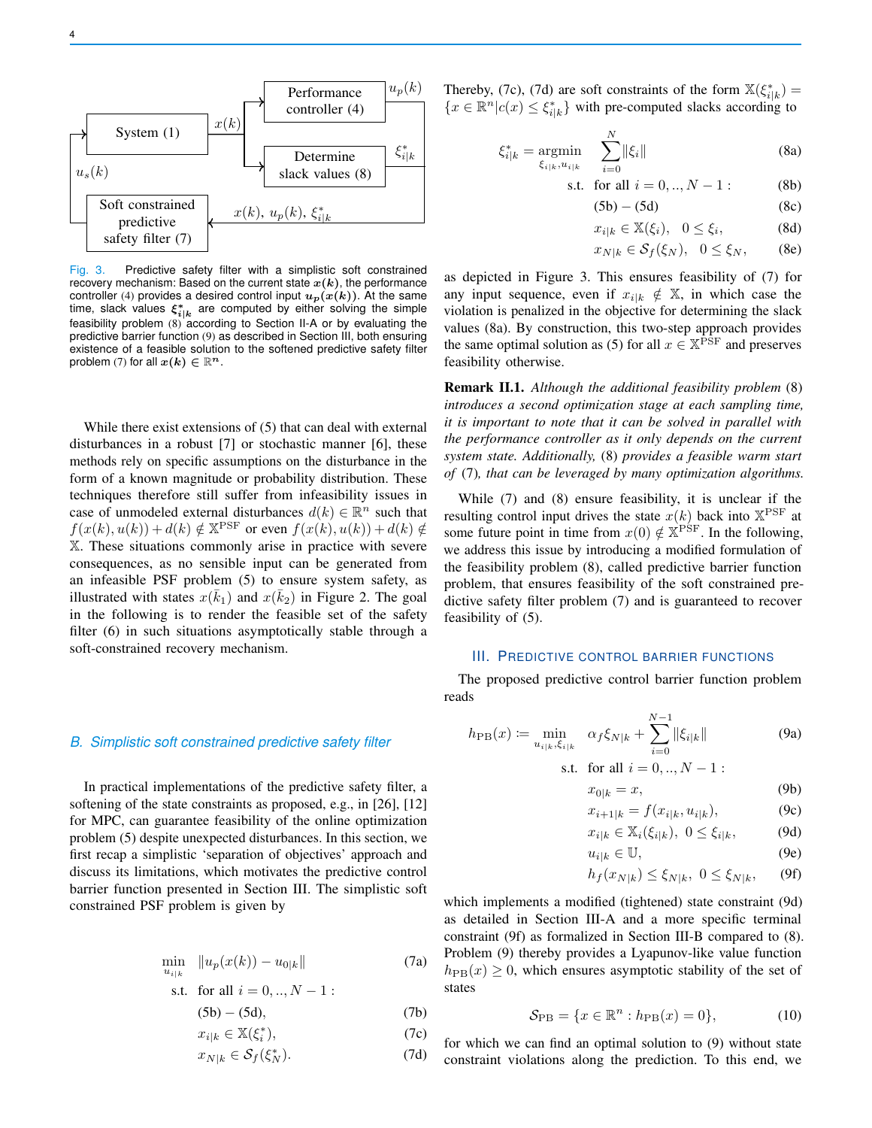

Fig. 3. Predictive safety filter with a simplistic soft constrained recovery mechanism: Based on the current state  $x(k)$ , the performance controller (4) provides a desired control input  $u_p(x(k))$ . At the same time, slack values  $\xi^*_{i|k}$  are computed by either solving the simple feasibility problem (8) according to Section II-A or by evaluating the predictive barrier function (9) as described in Section III, both ensuring existence of a feasible solution to the softened predictive safety filter problem (7) for all  $x(k) \in \mathbb{R}^n$ .

While there exist extensions of (5) that can deal with external disturbances in a robust [7] or stochastic manner [6], these methods rely on specific assumptions on the disturbance in the form of a known magnitude or probability distribution. These techniques therefore still suffer from infeasibility issues in case of unmodeled external disturbances  $d(k) \in \mathbb{R}^n$  such that  $f(x(k), u(k)) + d(k) \notin \mathbb{X}$ <sup>PSF</sup> or even  $f(x(k), u(k)) + d(k) \notin$ X. These situations commonly arise in practice with severe consequences, as no sensible input can be generated from an infeasible PSF problem (5) to ensure system safety, as illustrated with states  $x(\bar{k}_1)$  and  $x(\bar{k}_2)$  in Figure 2. The goal in the following is to render the feasible set of the safety filter (6) in such situations asymptotically stable through a soft-constrained recovery mechanism.

## *B. Simplistic soft constrained predictive safety filter*

In practical implementations of the predictive safety filter, a softening of the state constraints as proposed, e.g., in [26], [12] for MPC, can guarantee feasibility of the online optimization problem (5) despite unexpected disturbances. In this section, we first recap a simplistic 'separation of objectives' approach and discuss its limitations, which motivates the predictive control barrier function presented in Section III. The simplistic soft constrained PSF problem is given by

$$
\min_{u_{i|k}} \|u_p(x(k)) - u_{0|k}\|
$$
\n(7a)

s.t. for all 
$$
i = 0, ..., N - 1
$$
:

$$
(5b) - (5d), \tag{7b}
$$

$$
x_{i|k} \in \mathbb{X}(\xi_i^*),\tag{7c}
$$

$$
x_{N|k} \in \mathcal{S}_f(\xi_N^*). \tag{7d}
$$

Thereby, (7c), (7d) are soft constraints of the form  $\mathbb{X}(\xi_{i|k}^*) =$  ${x \in \mathbb{R}^n | c(x) \leq \xi_{i|k}^*}$  with pre-computed slacks according to

$$
\xi_{i|k}^* = \underset{\xi_{i|k}, u_{i|k}}{\text{argmin}} \quad \sum_{i=0}^N \|\xi_i\| \tag{8a}
$$

s.t. for all 
$$
i = 0, ..., N - 1
$$
: (8b)

$$
(5b) - (5d) \tag{8c}
$$

$$
x_{i|k} \in \mathbb{X}(\xi_i), \quad 0 \le \xi_i,\tag{8d}
$$

$$
x_{N|k} \in \mathcal{S}_f(\xi_N), \quad 0 \le \xi_N, \qquad \text{(8e)}
$$

as depicted in Figure 3. This ensures feasibility of (7) for any input sequence, even if  $x_{i|k} \notin X$ , in which case the violation is penalized in the objective for determining the slack values (8a). By construction, this two-step approach provides the same optimal solution as (5) for all  $x \in \mathbb{X}^{\bar{P}\bar{S}F}$  and preserves feasibility otherwise.

Remark II.1. *Although the additional feasibility problem* (8) *introduces a second optimization stage at each sampling time, it is important to note that it can be solved in parallel with the performance controller as it only depends on the current system state. Additionally,* (8) *provides a feasible warm start of* (7)*, that can be leveraged by many optimization algorithms.*

While (7) and (8) ensure feasibility, it is unclear if the resulting control input drives the state  $x(k)$  back into  $X^{PSF}$  at some future point in time from  $x(0) \notin \mathbb{X}^{\text{PSF}}$ . In the following, we address this issue by introducing a modified formulation of the feasibility problem (8), called predictive barrier function problem, that ensures feasibility of the soft constrained predictive safety filter problem (7) and is guaranteed to recover feasibility of (5).

#### III. PREDICTIVE CONTROL BARRIER FUNCTIONS

The proposed predictive control barrier function problem reads

$$
h_{\rm PB}(x) := \min_{u_{i|k}, \xi_{i|k}} \ \alpha_f \xi_{N|k} + \sum_{i=0}^{N-1} \|\xi_{i|k}\| \tag{9a}
$$

s.t. for all 
$$
i = 0, ..., N - 1
$$
:

$$
x_{0|k} = x,\t\t(9b)
$$

$$
x_{i+1|k} = f(x_{i|k}, u_{i|k}), \tag{9c}
$$

$$
x_{i|k} \in \mathbb{X}_i(\xi_{i|k}), \ 0 \le \xi_{i|k}, \tag{9d}
$$

$$
u_{i|k} \in \mathbb{U},\tag{9e}
$$

$$
h_f(x_{N|k}) \le \xi_{N|k}, \ 0 \le \xi_{N|k}, \qquad \text{(9f)}
$$

which implements a modified (tightened) state constraint (9d) as detailed in Section III-A and a more specific terminal constraint (9f) as formalized in Section III-B compared to (8). Problem (9) thereby provides a Lyapunov-like value function  $h_{\text{PB}}(x) \geq 0$ , which ensures asymptotic stability of the set of states

$$
\mathcal{S}_{\rm PB} = \{ x \in \mathbb{R}^n : h_{\rm PB}(x) = 0 \},\tag{10}
$$

for which we can find an optimal solution to (9) without state constraint violations along the prediction. To this end, we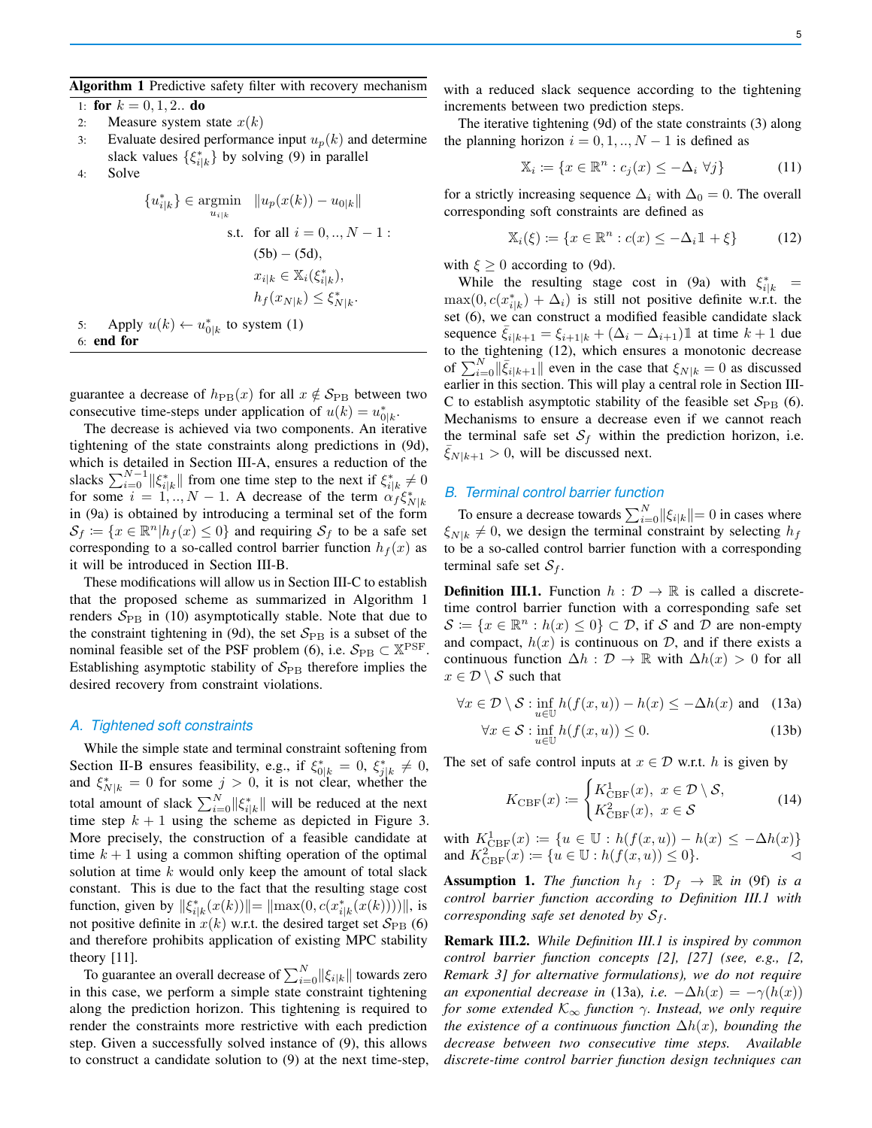#### Algorithm 1 Predictive safety filter with recovery mechanism

1: for  $k = 0, 1, 2...$  do

- 2: Measure system state  $x(k)$
- 3: Evaluate desired performance input  $u_p(k)$  and determine slack values  $\{\xi_{i|k}^*\}$  by solving (9) in parallel
- 4: Solve

$$
\{u_{i|k}^*\} \in \underset{u_{i|k}}{\text{argmin}} \quad \|u_p(x(k)) - u_{0|k}\|
$$
\n
$$
\text{s.t. for all } i = 0,.., N - 1:
$$
\n
$$
(5b) - (5d),
$$
\n
$$
x_{i|k} \in \mathbb{X}_i(\xi_{i|k}^*),
$$
\n
$$
h_f(x_{N|k}) \le \xi_{N|k}^*.
$$
\n
$$
\text{where } \xi_{i|k}^*, \xi_{i|k}^* \in \mathbb{X}_i, \quad \xi_{i|k}^* \in \mathbb{X}_i, \quad \xi_{i|k}^* \in \mathbb{X}_i, \quad \xi_{i|k}^* \in \mathbb{X}_i.
$$

5: Apply  $u(k) \leftarrow u_{0|k}^*$  to system (1) 6: end for

guarantee a decrease of  $h_{\text{PB}}(x)$  for all  $x \notin S_{\text{PB}}$  between two consecutive time-steps under application of  $u(k) = u_{0|k}^*$ .

The decrease is achieved via two components. An iterative tightening of the state constraints along predictions in (9d), which is detailed in Section III-A, ensures a reduction of the slacks  $\sum_{i=0}^{N-1} ||\xi^*_{i|k}||$  from one time step to the next if  $\xi^*_{i|k} \neq 0$ for some  $i = 1, ..., N - 1$ . A decrease of the term  $\alpha_f \xi_{N|k}^*$ in (9a) is obtained by introducing a terminal set of the form  $S_f := \{x \in \mathbb{R}^n | h_f(x) \leq 0\}$  and requiring  $S_f$  to be a safe set corresponding to a so-called control barrier function  $h_f(x)$  as it will be introduced in Section III-B.

These modifications will allow us in Section III-C to establish that the proposed scheme as summarized in Algorithm 1 renders  $S_{\rm PB}$  in (10) asymptotically stable. Note that due to the constraint tightening in (9d), the set  $S_{\rm PB}$  is a subset of the nominal feasible set of the PSF problem (6), i.e.  $S_{PB} \subset X^{PSF}$ . Establishing asymptotic stability of  $S_{\rm PB}$  therefore implies the desired recovery from constraint violations.

## *A. Tightened soft constraints*

While the simple state and terminal constraint softening from Section II-B ensures feasibility, e.g., if  $\xi^*_{0|k} = 0$ ,  $\xi^*_{j|k} \neq 0$ , and  $\xi_{N|k}^* = 0$  for some  $j > 0$ , it is not clear, whether the total amount of slack  $\sum_{i=0}^{N} ||\xi^*_{i|k}||$  will be reduced at the next time step  $k + 1$  using the scheme as depicted in Figure 3. More precisely, the construction of a feasible candidate at time  $k + 1$  using a common shifting operation of the optimal solution at time  $k$  would only keep the amount of total slack constant. This is due to the fact that the resulting stage cost function, given by  $\|\xi_{i|k}^*(x(k))\| = \|\max(0, c(x_{i|k}^*(x(k))))\|$ , is not positive definite in  $x(k)$  w.r.t. the desired target set  $S_{\rm PB}$  (6) and therefore prohibits application of existing MPC stability theory [11].

To guarantee an overall decrease of  $\sum_{i=0}^{N} ||\xi_{i|k}||$  towards zero in this case, we perform a simple state constraint tightening along the prediction horizon. This tightening is required to render the constraints more restrictive with each prediction step. Given a successfully solved instance of (9), this allows to construct a candidate solution to (9) at the next time-step, with a reduced slack sequence according to the tightening increments between two prediction steps.

The iterative tightening (9d) of the state constraints (3) along the planning horizon  $i = 0, 1, ..., N - 1$  is defined as

$$
\mathbb{X}_i := \{ x \in \mathbb{R}^n : c_j(x) \le -\Delta_i \,\,\forall j \}
$$
\n(11)

for a strictly increasing sequence  $\Delta_i$  with  $\Delta_0 = 0$ . The overall corresponding soft constraints are defined as

$$
\mathbb{X}_i(\xi) := \{ x \in \mathbb{R}^n : c(x) \le -\Delta_i \mathbb{1} + \xi \}
$$
 (12)

with  $\xi \geq 0$  according to (9d).

While the resulting stage cost in (9a) with  $\xi_{i|k}^*$  =  $\max(0, c(x_{i|k}^*) + \Delta_i)$  is still not positive definite w.r.t. the set (6), we can construct a modified feasible candidate slack sequence  $\xi_{i|k+1} = \xi_{i+1|k} + (\Delta_i - \Delta_{i+1})\mathbb{1}$  at time  $k+1$  due to the tightening (12), which ensures a monotonic decrease of  $\sum_{i=0}^{N} ||\bar{\xi}_{i|k+1}||$  even in the case that  $\xi_{N|k} = 0$  as discussed earlier in this section. This will play a central role in Section III-C to establish asymptotic stability of the feasible set  $S_{\rm PB}$  (6). Mechanisms to ensure a decrease even if we cannot reach the terminal safe set  $S_f$  within the prediction horizon, i.e.  $\xi_{N|k+1} > 0$ , will be discussed next.

## *B. Terminal control barrier function*

To ensure a decrease towards  $\sum_{i=0}^{N} ||\xi_{i|k}|| = 0$  in cases where  $\xi_{N|k} \neq 0$ , we design the terminal constraint by selecting  $h_f$ to be a so-called control barrier function with a corresponding terminal safe set  $S_f$ .

**Definition III.1.** Function  $h : \mathcal{D} \to \mathbb{R}$  is called a discretetime control barrier function with a corresponding safe set  $\mathcal{S} \coloneqq \{x \in \mathbb{R}^n : h(x) \leq 0\} \subset \mathcal{D}$ , if S and  $\overline{\mathcal{D}}$  are non-empty and compact,  $h(x)$  is continuous on  $\mathcal{D}$ , and if there exists a continuous function  $\Delta h : \mathcal{D} \to \mathbb{R}$  with  $\Delta h(x) > 0$  for all  $x \in \mathcal{D} \setminus \mathcal{S}$  such that

$$
\forall x \in \mathcal{D} \setminus \mathcal{S} : \inf_{u \in \mathbb{U}} h(f(x, u)) - h(x) \le -\Delta h(x) \text{ and } (13a)
$$

$$
\forall x \in \mathcal{S} : \inf_{u \in \mathbb{U}} h(f(x, u)) \le 0. \tag{13b}
$$

The set of safe control inputs at  $x \in \mathcal{D}$  w.r.t. h is given by

$$
K_{\text{CBF}}(x) \coloneqq \begin{cases} K_{\text{CBF}}^1(x), & x \in \mathcal{D} \setminus \mathcal{S}, \\ K_{\text{CBF}}^2(x), & x \in \mathcal{S} \end{cases} \tag{14}
$$

with  $K_{\text{CBF}}^1(x) := \{ u \in \mathbb{U} : h(f(x, u)) - h(x) \leq -\Delta h(x) \}$ and  $K_{\text{CBF}}^2(x) := \{u \in \mathbb{U} : h(f(x, u)) \le 0\}.$ 

**Assumption 1.** *The function*  $h_f : \mathcal{D}_f \rightarrow \mathbb{R}$  *in* (9f) *is a control barrier function according to Definition III.1 with corresponding safe set denoted by*  $S_f$ .

Remark III.2. *While Definition III.1 is inspired by common control barrier function concepts [2], [27] (see, e.g., [2, Remark 3] for alternative formulations), we do not require an exponential decrease in* (13a), *i.e.*  $-\Delta h(x) = -\gamma(h(x))$ *for some extended* K<sup>∞</sup> *function* γ*. Instead, we only require the existence of a continuous function*  $\Delta h(x)$ *, bounding the decrease between two consecutive time steps. Available discrete-time control barrier function design techniques can*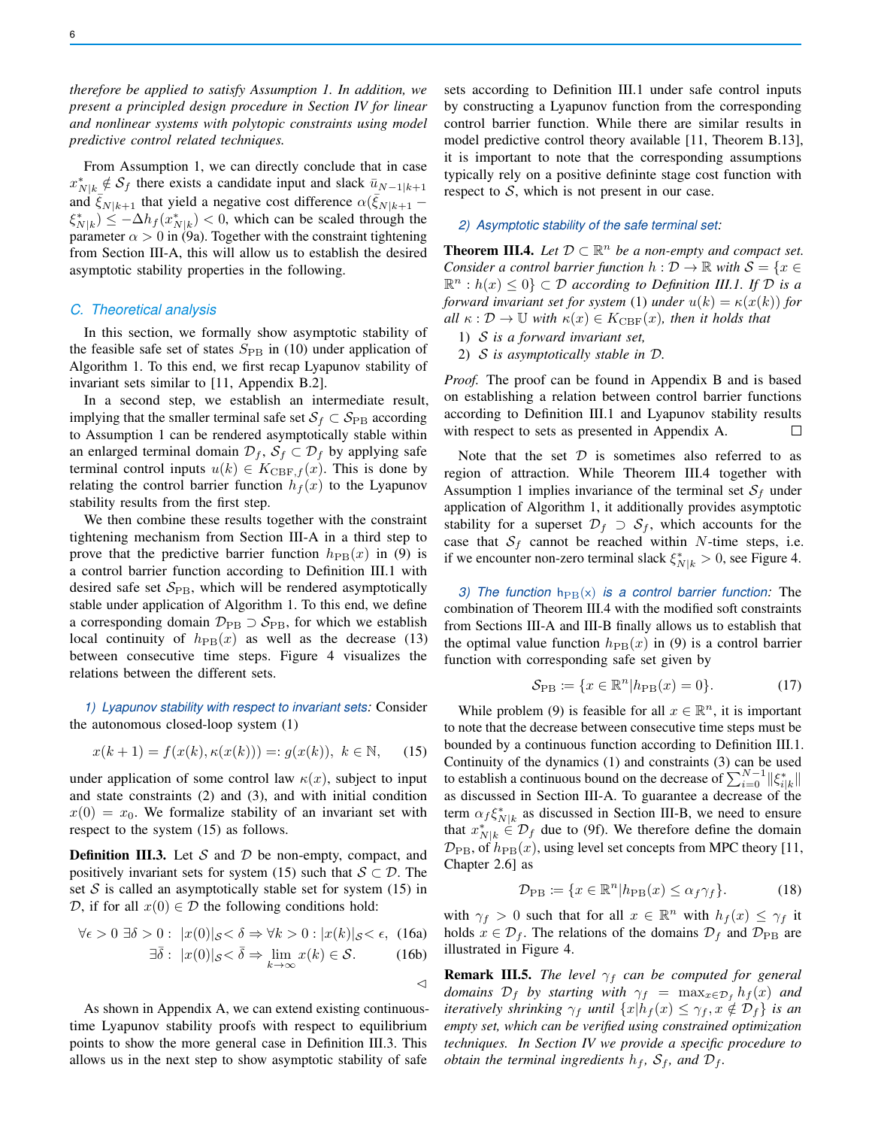*therefore be applied to satisfy Assumption 1. In addition, we present a principled design procedure in Section IV for linear and nonlinear systems with polytopic constraints using model predictive control related techniques.*

From Assumption 1, we can directly conclude that in case  $x_{N|k}^* \notin S_f$  there exists a candidate input and slack  $\bar{u}_{N-1|k+1}$ and  $\bar{\xi}_{N|k+1}$  that yield a negative cost difference  $\alpha(\bar{\xi}_{N|k+1} - \tau)$  $\langle \xi_{N|k}^* \rangle \leq -\Delta h_f(x_{N|k}^*) < 0$ , which can be scaled through the parameter  $\alpha > 0$  in (9a). Together with the constraint tightening from Section III-A, this will allow us to establish the desired asymptotic stability properties in the following.

#### *C. Theoretical analysis*

In this section, we formally show asymptotic stability of the feasible safe set of states  $S_{\rm PB}$  in (10) under application of Algorithm 1. To this end, we first recap Lyapunov stability of invariant sets similar to [11, Appendix B.2].

In a second step, we establish an intermediate result, implying that the smaller terminal safe set  $S_f \subset S_{\text{PB}}$  according to Assumption 1 can be rendered asymptotically stable within an enlarged terminal domain  $\mathcal{D}_f$ ,  $\mathcal{S}_f \subset \mathcal{D}_f$  by applying safe terminal control inputs  $u(k) \in K_{CBF,f}(x)$ . This is done by relating the control barrier function  $h_f(x)$  to the Lyapunov stability results from the first step.

We then combine these results together with the constraint tightening mechanism from Section III-A in a third step to prove that the predictive barrier function  $h_{\text{PB}}(x)$  in (9) is a control barrier function according to Definition III.1 with desired safe set  $S_{\text{PB}}$ , which will be rendered asymptotically stable under application of Algorithm 1. To this end, we define a corresponding domain  $\mathcal{D}_{\text{PB}} \supset \mathcal{S}_{\text{PB}}$ , for which we establish local continuity of  $h_{\text{PB}}(x)$  as well as the decrease (13) between consecutive time steps. Figure 4 visualizes the relations between the different sets.

*1) Lyapunov stability with respect to invariant sets:* Consider the autonomous closed-loop system (1)

$$
x(k+1) = f(x(k), \kappa(x(k))) =: g(x(k)), \ k \in \mathbb{N}, \quad (15)
$$

under application of some control law  $\kappa(x)$ , subject to input and state constraints (2) and (3), and with initial condition  $x(0) = x_0$ . We formalize stability of an invariant set with respect to the system (15) as follows.

**Definition III.3.** Let S and D be non-empty, compact, and positively invariant sets for system (15) such that  $S \subset \mathcal{D}$ . The set  $S$  is called an asymptotically stable set for system (15) in D, if for all  $x(0) \in \mathcal{D}$  the following conditions hold:

$$
\forall \epsilon > 0 \; \exists \delta > 0 : \; |x(0)|_{\mathcal{S}} < \delta \Rightarrow \forall k > 0 : |x(k)|_{\mathcal{S}} < \epsilon, \tag{16a}
$$

$$
\exists \overline{\delta} : |x(0)|_{\mathcal{S}} < \overline{\delta} \Rightarrow \lim_{k \to \infty} x(k) \in \mathcal{S}. \tag{16b}
$$

$$
|S \setminus 0 \to \lim_{k \to \infty} x(k) \subset \mathcal{O}. \tag{10}
$$

 $\triangleleft$ 

As shown in Appendix A, we can extend existing continuoustime Lyapunov stability proofs with respect to equilibrium points to show the more general case in Definition III.3. This allows us in the next step to show asymptotic stability of safe

sets according to Definition III.1 under safe control inputs by constructing a Lyapunov function from the corresponding control barrier function. While there are similar results in model predictive control theory available [11, Theorem B.13], it is important to note that the corresponding assumptions typically rely on a positive defininte stage cost function with respect to  $S$ , which is not present in our case.

## *2) Asymptotic stability of the safe terminal set:*

**Theorem III.4.** Let  $D \subset \mathbb{R}^n$  be a non-empty and compact set. *Consider a control barrier function*  $h: \mathcal{D} \to \mathbb{R}$  *with*  $\mathcal{S} = \{x \in \mathcal{S} \mid x \in \mathcal{S}\}$  $\mathbb{R}^n : h(x) \leq 0$   $\subset \mathcal{D}$  *according to Definition III.1. If*  $\mathcal{D}$  *is a forward invariant set for system* (1) *under*  $u(k) = \kappa(x(k))$  *for all*  $\kappa : \mathcal{D} \to \mathbb{U}$  *with*  $\kappa(x) \in K_{\text{CBF}}(x)$ *, then it holds that* 

- 1) S *is a forward invariant set,*
- 2) S *is asymptotically stable in* D*.*

*Proof.* The proof can be found in Appendix B and is based on establishing a relation between control barrier functions according to Definition III.1 and Lyapunov stability results with respect to sets as presented in Appendix A.  $\Box$ 

Note that the set  $D$  is sometimes also referred to as region of attraction. While Theorem III.4 together with Assumption 1 implies invariance of the terminal set  $S_f$  under application of Algorithm 1, it additionally provides asymptotic stability for a superset  $\mathcal{D}_f \supset \mathcal{S}_f$ , which accounts for the case that  $S_f$  cannot be reached within N-time steps, i.e. if we encounter non-zero terminal slack  $\xi_{N|k}^* > 0$ , see Figure 4.

*3) The function*  $h_{PB}(x)$  *is a control barrier function:* The combination of Theorem III.4 with the modified soft constraints from Sections III-A and III-B finally allows us to establish that the optimal value function  $h_{\text{PB}}(x)$  in (9) is a control barrier function with corresponding safe set given by

$$
\mathcal{S}_{\mathrm{PB}} \coloneqq \{ x \in \mathbb{R}^n | h_{\mathrm{PB}}(x) = 0 \}. \tag{17}
$$

While problem (9) is feasible for all  $x \in \mathbb{R}^n$ , it is important to note that the decrease between consecutive time steps must be bounded by a continuous function according to Definition III.1. Continuity of the dynamics (1) and constraints (3) can be used to establish a continuous bound on the decrease of  $\sum_{i=0}^{N-1} ||\xi^*_{i|k}||$ as discussed in Section III-A. To guarantee a decrease of the term  $\alpha_f \xi_{N|k}^*$  as discussed in Section III-B, we need to ensure that  $x_{N|k}^* \in \mathcal{D}_f$  due to (9f). We therefore define the domain  $\mathcal{D}_{\text{PB}}$ , of  $h_{\text{PB}}(x)$ , using level set concepts from MPC theory [11, Chapter 2.6] as

$$
\mathcal{D}_{\rm PB} \coloneqq \{ x \in \mathbb{R}^n | h_{\rm PB}(x) \le \alpha_f \gamma_f \}. \tag{18}
$$

with  $\gamma_f > 0$  such that for all  $x \in \mathbb{R}^n$  with  $h_f(x) \leq \gamma_f$  it holds  $x \in \mathcal{D}_f$ . The relations of the domains  $\mathcal{D}_f$  and  $\mathcal{D}_{\text{PB}}$  are illustrated in Figure 4.

**Remark III.5.** *The level*  $\gamma_f$  *can be computed for general domains*  $\mathcal{D}_f$  *by starting with*  $\gamma_f$  =  $\max_{x \in \mathcal{D}_f} h_f(x)$  *and iteratively shrinking*  $\gamma_f$  *until*  $\{x | h_f(x) \leq \gamma_f, x \notin \mathcal{D}_f\}$  *is an empty set, which can be verified using constrained optimization techniques. In Section IV we provide a specific procedure to obtain the terminal ingredients*  $h_f$ ,  $S_f$ , and  $D_f$ .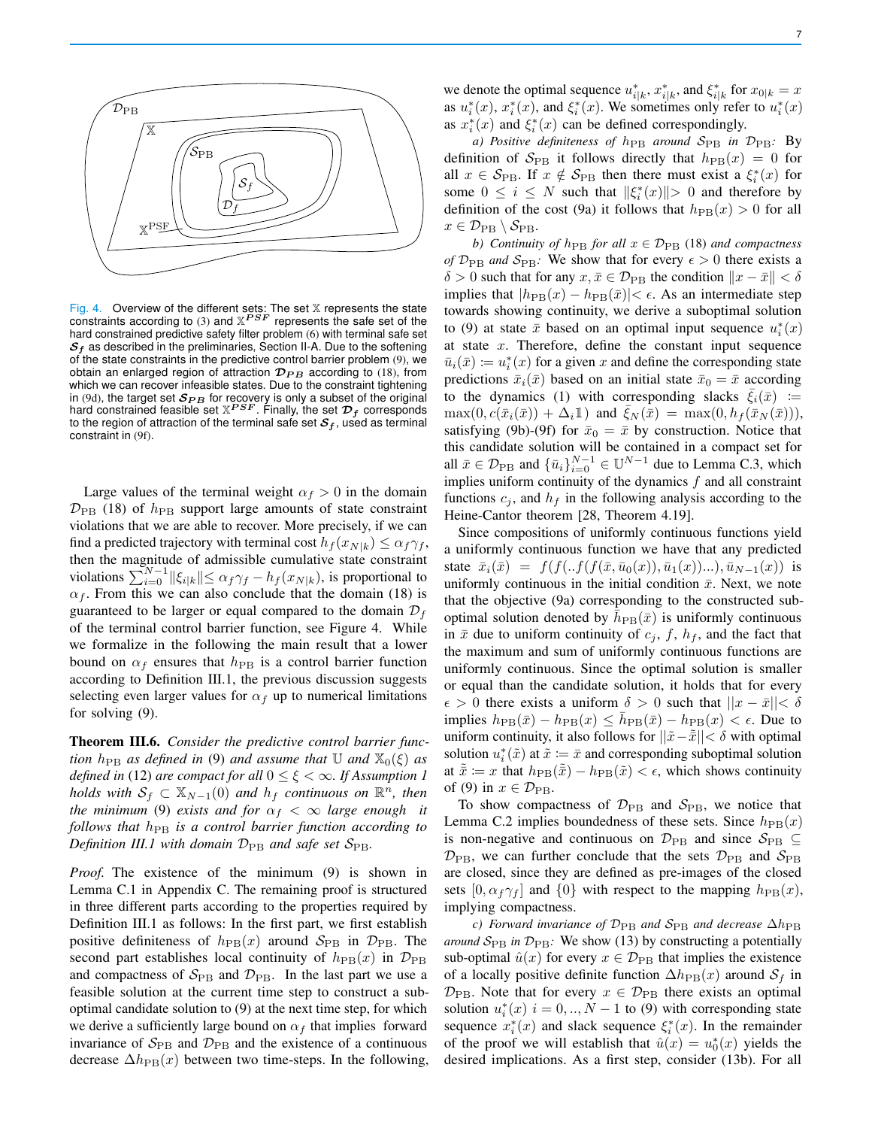

Fig. 4. Overview of the different sets: The set  $X$  represents the state constraints according to (3) and  $\mathbb{X}^{PSF}$  represents the safe set of the hard constrained predictive safety filter problem (6) with terminal safe set  $S<sub>f</sub>$  as described in the preliminaries, Section II-A. Due to the softening of the state constraints in the predictive control barrier problem (9), we obtain an enlarged region of attraction  $\mathcal{D}_{PB}$  according to (18), from which we can recover infeasible states. Due to the constraint tightening in (9d), the target set  $\mathcal{S}_{PB}$  for recovery is only a subset of the original<br>hard constrained feasible set  $\mathbb{X}^{PSF}.$  Finally, the set  $\mathcal{D}_f$  corresponds to the region of attraction of the terminal safe set  $S_f$ , used as terminal constraint in (9f).

Large values of the terminal weight  $\alpha_f > 0$  in the domain  $\mathcal{D}_{\text{PB}}$  (18) of  $h_{\text{PB}}$  support large amounts of state constraint violations that we are able to recover. More precisely, if we can find a predicted trajectory with terminal cost  $h_f(x_{N|k}) \leq \alpha_f \gamma_f$ , then the magnitude of admissible cumulative state constraint violations  $\sum_{i=0}^{N-1} ||\xi_{i|k}|| \le \alpha_f \gamma_f - h_f(x_{N|k})$ , is proportional to  $\alpha_f$ . From this we can also conclude that the domain (18) is guaranteed to be larger or equal compared to the domain  $\mathcal{D}_f$ of the terminal control barrier function, see Figure 4. While we formalize in the following the main result that a lower bound on  $\alpha_f$  ensures that  $h_{\rm PB}$  is a control barrier function according to Definition III.1, the previous discussion suggests selecting even larger values for  $\alpha_f$  up to numerical limitations for solving (9).

Theorem III.6. *Consider the predictive control barrier function*  $h_{\text{PB}}$  *as defined in* (9) *and assume that* U *and*  $\mathbb{X}_0(\xi)$  *as defined in* (12) *are compact for all*  $0 \le \xi < \infty$ *. If Assumption 1 holds with*  $S_f \subset \mathbb{X}_{N-1}(0)$  *and*  $h_f$  *continuous on*  $\mathbb{R}^n$ *, then the minimum* (9) *exists and for*  $\alpha_f < \infty$  *large enough it follows that*  $h_{\text{PB}}$  *is a control barrier function according to Definition III.1 with domain*  $D_{PB}$  *and safe set*  $S_{PB}$ *.* 

*Proof.* The existence of the minimum (9) is shown in Lemma C.1 in Appendix C. The remaining proof is structured in three different parts according to the properties required by Definition III.1 as follows: In the first part, we first establish positive definiteness of  $h_{\text{PB}}(x)$  around  $S_{\text{PB}}$  in  $\mathcal{D}_{\text{PB}}$ . The second part establishes local continuity of  $h_{\text{PB}}(x)$  in  $\mathcal{D}_{\text{PB}}$ and compactness of  $S_{\rm PB}$  and  $D_{\rm PB}$ . In the last part we use a feasible solution at the current time step to construct a suboptimal candidate solution to (9) at the next time step, for which we derive a sufficiently large bound on  $\alpha_f$  that implies forward invariance of  $S_{\rm PB}$  and  $D_{\rm PB}$  and the existence of a continuous decrease  $\Delta h_{\text{PB}}(x)$  between two time-steps. In the following,

we denote the optimal sequence  $u_{i|k}^*$ ,  $x_{i|k}^*$ , and  $\xi_{i|k}^*$  for  $x_{0|k} = x$ as  $u_i^*(x)$ ,  $x_i^*(x)$ , and  $\xi_i^*(x)$ . We sometimes only refer to  $u_i^*(x)$ as  $x_i^*(x)$  and  $\xi_i^*(x)$  can be defined correspondingly.

*a) Positive definiteness of h*PB *around*  $S_{\text{PB}}$  *in*  $\mathcal{D}_{\text{PB}}$ *:* By definition of  $S_{\text{PB}}$  it follows directly that  $h_{\text{PB}}(x) = 0$  for all  $x \in S_{\text{PB}}$ . If  $x \notin S_{\text{PB}}$  then there must exist a  $\xi_i^*(x)$  for some  $0 \le i \le N$  such that  $\|\xi_i^*(x)\| > 0$  and therefore by definition of the cost (9a) it follows that  $h_{\text{PB}}(x) > 0$  for all  $x \in \mathcal{D}_{\text{PB}} \setminus \mathcal{S}_{\text{PB}}.$ 

*b)* Continuity of  $h_{\text{PB}}$  *for all*  $x \in \mathcal{D}_{\text{PB}}$  (18) *and compactness of*  $\mathcal{D}_{\text{PB}}$  *and*  $\mathcal{S}_{\text{PB}}$ : We show that for every  $\epsilon > 0$  there exists a  $\delta > 0$  such that for any  $x, \bar{x} \in \mathcal{D}_{\text{PB}}$  the condition  $||x - \bar{x}|| < \delta$ implies that  $|h_{\text{PB}}(x) - h_{\text{PB}}(\bar{x})| < \epsilon$ . As an intermediate step towards showing continuity, we derive a suboptimal solution to (9) at state  $\bar{x}$  based on an optimal input sequence  $u_i^*(x)$ at state  $x$ . Therefore, define the constant input sequence  $\bar{u}_i(\bar{x}) \coloneqq u_i^*(x)$  for a given x and define the corresponding state predictions  $\bar{x}_i(\bar{x})$  based on an initial state  $\bar{x}_0 = \bar{x}$  according to the dynamics (1) with corresponding slacks  $\bar{\xi}_i(\bar{x}) :=$  $\max(0, c(\bar{x}_i(\bar{x})) + \Delta_i \mathbb{1})$  and  $\bar{\xi}_N(\bar{x}) = \max(0, h_f(\bar{x}_N(\bar{x}))),$ satisfying (9b)-(9f) for  $\bar{x}_0 = \bar{x}$  by construction. Notice that this candidate solution will be contained in a compact set for all  $\bar{x} \in \mathcal{D}_{\text{PB}}$  and  $\{\bar{u}_i\}_{i=0}^{N-1} \in \mathbb{U}^{N-1}$  due to Lemma C.3, which implies uniform continuity of the dynamics  $f$  and all constraint functions  $c_i$ , and  $h_f$  in the following analysis according to the Heine-Cantor theorem [28, Theorem 4.19].

Since compositions of uniformly continuous functions yield a uniformly continuous function we have that any predicted state  $\bar{x}_i(\bar{x}) = f(f(.f(f(\bar{x}, \bar{u}_0(x)), \bar{u}_1(x))...), \bar{u}_{N-1}(x))$  is uniformly continuous in the initial condition  $\bar{x}$ . Next, we note that the objective (9a) corresponding to the constructed suboptimal solution denoted by  $\bar{h}_{\text{PB}}(\bar{x})$  is uniformly continuous in  $\bar{x}$  due to uniform continuity of  $c_j$ ,  $f$ ,  $h_f$ , and the fact that the maximum and sum of uniformly continuous functions are uniformly continuous. Since the optimal solution is smaller or equal than the candidate solution, it holds that for every  $\epsilon > 0$  there exists a uniform  $\delta > 0$  such that  $||x - \bar{x}|| < \delta$ implies  $h_{\text{PB}}(\bar{x}) - h_{\text{PB}}(x) \leq \bar{h}_{\text{PB}}(\bar{x}) - h_{\text{PB}}(x) < \epsilon$ . Due to uniform continuity, it also follows for  $||\tilde{x} - \tilde{x}|| < \delta$  with optimal solution  $u_i^*(\tilde{x})$  at  $\tilde{x} := \bar{x}$  and corresponding suboptimal solution at  $\bar{x} := x$  that  $h_{\text{PB}}(\bar{x}) - h_{\text{PB}}(\tilde{x}) < \epsilon$ , which shows continuity of (9) in  $x \in \mathcal{D}_{\text{PB}}$ .

To show compactness of  $\mathcal{D}_{\text{PB}}$  and  $\mathcal{S}_{\text{PB}}$ , we notice that Lemma C.2 implies boundedness of these sets. Since  $h_{\text{PB}}(x)$ is non-negative and continuous on  $\mathcal{D}_{\text{PB}}$  and since  $\mathcal{S}_{\text{PB}} \subseteq$  $\mathcal{D}_{\text{PB}}$ , we can further conclude that the sets  $\mathcal{D}_{\text{PB}}$  and  $\mathcal{S}_{\text{PB}}$ are closed, since they are defined as pre-images of the closed sets  $[0, \alpha_f \gamma_f]$  and  $\{0\}$  with respect to the mapping  $h_{\text{PB}}(x)$ , implying compactness.

*c)* Forward invariance of  $\mathcal{D}_{\text{PB}}$  and  $\mathcal{S}_{\text{PB}}$  and decrease  $\Delta h_{\text{PB}}$ *around*  $S_{\text{PB}}$  *in*  $\mathcal{D}_{\text{PB}}$ *:* We show (13) by constructing a potentially sub-optimal  $\hat{u}(x)$  for every  $x \in \mathcal{D}_{\text{PB}}$  that implies the existence of a locally positive definite function  $\Delta h_{\text{PB}}(x)$  around  $S_f$  in  $\mathcal{D}_{\text{PB}}$ . Note that for every  $x \in \mathcal{D}_{\text{PB}}$  there exists an optimal solution  $u_i^*(x)$   $i = 0, ..., N - 1$  to (9) with corresponding state sequence  $x_i^*(x)$  and slack sequence  $\xi_i^*(x)$ . In the remainder of the proof we will establish that  $\hat{u}(x) = u_0^*(x)$  yields the desired implications. As a first step, consider (13b). For all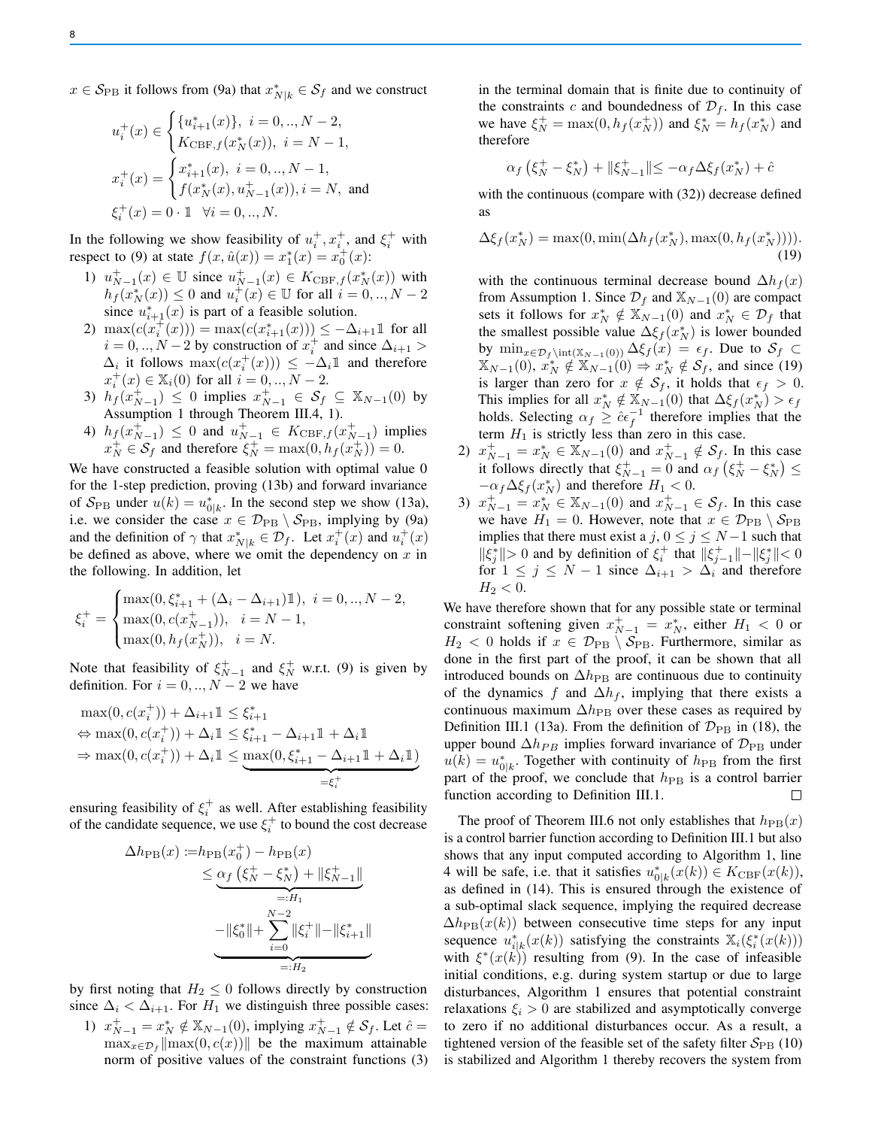$x \in \mathcal{S}_{\text{PB}}$  it follows from (9a) that  $x^*_{N|k} \in \mathcal{S}_f$  and we construct

$$
u_i^+(x) \in \begin{cases} \{u_{i+1}^*(x)\}, & i = 0,.., N-2, \\ K_{\text{CBF},f}(x_N^*(x)), & i = N-1, \end{cases}
$$
  

$$
x_i^+(x) = \begin{cases} x_{i+1}^*(x), & i = 0,.., N-1, \\ f(x_N^*(x), u_{N-1}^+(x)), & i = N, \text{ and} \\ \xi_i^+(x) = 0 \cdot 1 \quad \forall i = 0,.., N. \end{cases}
$$

In the following we show feasibility of  $u_i^+, x_i^+$ , and  $\xi_i^+$  with respect to (9) at state  $f(x, \hat{u}(x)) = x_1^*(x) = x_0^+(x)$ :

- 1)  $u_{N-1}^+(x) \in \mathbb{U}$  since  $u_{N-1}^+(x) \in K_{\text{CBF},f}(x_N^*(x))$  with  $h_f(x_N^*(x)) \le 0$  and  $u_i^+(x) \in \mathbb{U}$  for all  $i = 0, ..., N - 2$ since  $u_{i+1}^*(x)$  is part of a feasible solution.
- 2)  $\max(c(x_i^+(x))) = \max(c(x_{i+1}^*(x))) \leq -\Delta_{i+1} \mathbb{1}$  for all  $i = 0, ..., N - 2$  by construction of  $x_i^+$  and since  $\Delta_{i+1} >$  $\Delta_i$  it follows  $\max(c(x_i^+(x))) \leq -\Delta_i \mathbb{1}$  and therefore  $x_i^+(x) \in \mathbb{X}_i(0)$  for all  $i = 0, ..., N - 2$ .
- 3)  $h_f(x_{N-1}^+) \leq 0$  implies  $x_{N-1}^+ \in \mathcal{S}_f \subseteq \mathbb{X}_{N-1}(0)$  by Assumption 1 through Theorem III.4, 1).
- 4)  $h_f(x_{N-1}^+) \leq 0$  and  $u_{N-1}^+ \in K_{\text{CBF},f}(x_{N-1}^+)$  implies  $x_N^+ \in \mathcal{S}_f$  and therefore  $\xi_N^+ = \max(0, h_f(x_N^+)) = 0$ .

We have constructed a feasible solution with optimal value 0 for the 1-step prediction, proving (13b) and forward invariance of  $S_{\rm PB}$  under  $u(k) = u_{0|k}^*$ . In the second step we show (13a), i.e. we consider the case  $x \in \mathcal{D}_{PB} \setminus \mathcal{S}_{PB}$ , implying by (9a) and the definition of  $\gamma$  that  $x^*_{N|k} \in \mathcal{D}_f$ . Let  $x^+_i(x)$  and  $u^+_i(x)$ be defined as above, where we omit the dependency on  $x$  in the following. In addition, let

$$
\xi_i^+ = \begin{cases} \max(0, \xi_{i+1}^* + (\Delta_i - \Delta_{i+1}) \mathbb{1}), \ i = 0,.., N-2, \\ \max(0, c(x_{N-1}^+)), \ i = N-1, \\ \max(0, h_f(x_N^+)), \ i = N. \end{cases}
$$

Note that feasibility of  $\xi_{N-1}^+$  and  $\xi_N^+$  w.r.t. (9) is given by definition. For  $i = 0, ..., N - 2$  we have

$$
\max(0, c(x_i^+)) + \Delta_{i+1} \mathbb{1} \le \xi_{i+1}^*
$$
  
\n
$$
\Leftrightarrow \max(0, c(x_i^+)) + \Delta_i \mathbb{1} \le \xi_{i+1}^* - \Delta_{i+1} \mathbb{1} + \Delta_i \mathbb{1}
$$
  
\n
$$
\Rightarrow \max(0, c(x_i^+)) + \Delta_i \mathbb{1} \le \max(0, \xi_{i+1}^* - \Delta_{i+1} \mathbb{1} + \Delta_i \mathbb{1})
$$
  
\n
$$
= \xi_i^*
$$

ensuring feasibility of  $\xi_i^+$  as well. After establishing feasibility of the candidate sequence, we use  $\xi_i^+$  to bound the cost decrease

$$
\Delta h_{\rm PB}(x) := h_{\rm PB}(x_0^+) - h_{\rm PB}(x)
$$
  
\n
$$
\leq \underbrace{\alpha_f (\xi_N^+ - \xi_N^*) + ||\xi_{N-1}^+||}_{=:H_1}
$$
  
\n
$$
-||\xi_0^*|| + \sum_{i=0}^{N-2} ||\xi_i^+|| - ||\xi_{i+1}^*||
$$
  
\n
$$
=:H_2
$$

by first noting that  $H_2 \leq 0$  follows directly by construction since  $\Delta_i < \Delta_{i+1}$ . For  $H_1$  we distinguish three possible cases:

1)  $x_{N-1}^+ = x_N^* \notin \mathbb{X}_{N-1}(0)$ , implying  $x_{N-1}^+ \notin \mathcal{S}_f$ . Let  $\hat{c} =$  $\max_{x \in \mathcal{D}_f} \|\max(0, c(x))\|$  be the maximum attainable norm of positive values of the constraint functions (3) in the terminal domain that is finite due to continuity of the constraints c and boundedness of  $\mathcal{D}_f$ . In this case we have  $\xi_N^+ = \max(0, h_f(x_N^+))$  and  $\xi_N^* = h_f(x_N^*)$  and therefore

$$
\alpha_f \left( \xi_N^+ - \xi_N^* \right) + \|\xi_{N-1}^+\| \le -\alpha_f \Delta \xi_f(x_N^*) + \hat{c}
$$

with the continuous (compare with  $(32)$ ) decrease defined as

$$
\Delta \xi_f(x_N^*) = \max(0, \min(\Delta h_f(x_N^*), \max(0, h_f(x_N^*))))
$$
\n(19)

with the continuous terminal decrease bound  $\Delta h_f(x)$ from Assumption 1. Since  $\mathcal{D}_f$  and  $\mathbb{X}_{N-1}(0)$  are compact sets it follows for  $x_N^* \notin \mathbb{X}_{N-1}(0)$  and  $x_N^* \in \mathcal{D}_f$  that the smallest possible value  $\Delta \xi_f(x_N^*)$  is lower bounded by  $\min_{x \in \mathcal{D}_f \in (\mathbb{X}_{N-1}(0))} \Delta \xi_f(x) = \epsilon_f$ . Due to  $\mathcal{S}_f$  $\mathbb{X}_{N-1}(0), x_N^* \notin \mathbb{X}_{N-1}(0) \Rightarrow x_N^* \notin \mathcal{S}_f$ , and since (19) is larger than zero for  $x \notin S_f$ , it holds that  $\epsilon_f > 0$ . This implies for all  $x_N^* \notin X_{N-1}(0)$  that  $\Delta \xi_f(x_N^*) > \epsilon_f$ holds. Selecting  $\alpha_f \geq \hat{c} \epsilon_f^{-1}$  therefore implies that the term  $H_1$  is strictly less than zero in this case.

- 2)  $x_{N-1}^+ = x_N^* \in \mathbb{X}_{N-1}(0)$  and  $x_{N-1}^+ \notin \mathcal{S}_f$ . In this case it follows directly that  $\xi_{N-1}^+ = 0$  and  $\alpha_f$   $(\xi_N^+ - \xi_N^*) \le$  $-\alpha_f \Delta \xi_f(x_N^*)$  and therefore  $H_1 < 0$ .
- 3)  $x_{N-1}^+ = x_N^* \in \mathbb{X}_{N-1}(0)$  and  $x_{N-1}^+ \in \mathcal{S}_f$ . In this case we have  $H_1 = 0$ . However, note that  $x \in \mathcal{D}_{PB} \setminus \mathcal{S}_{PB}$ implies that there must exist a j,  $0 \le j \le N-1$  such that  $\|\xi_j^*\| > 0$  and by definition of  $\xi_i^+$  that  $\|\xi_{j-1}^+\| - \|\xi_j^*\| < 0$ for  $1 \leq j \leq N-1$  since  $\Delta_{i+1} > \Delta_i$  and therefore  $H_2 < 0.$

We have therefore shown that for any possible state or terminal constraint softening given  $x_{N-1}^+ = x_N^*$ , either  $H_1 < 0$  or  $H_2 < 0$  holds if  $x \in \mathcal{D}_{PB} \setminus \mathcal{S}_{PB}$ . Furthermore, similar as done in the first part of the proof, it can be shown that all introduced bounds on  $\Delta h_{\text{PB}}$  are continuous due to continuity of the dynamics f and  $\Delta h_f$ , implying that there exists a continuous maximum  $\Delta h_{\rm PB}$  over these cases as required by Definition III.1 (13a). From the definition of  $\mathcal{D}_{\text{PB}}$  in (18), the upper bound  $\Delta h_{PB}$  implies forward invariance of  $\mathcal{D}_{PB}$  under  $u(k) = u_{0|k}^*$ . Together with continuity of  $h_{\text{PB}}$  from the first part of the proof, we conclude that  $h_{\text{PB}}$  is a control barrier function according to Definition III.1.  $\Box$ 

The proof of Theorem III.6 not only establishes that  $h_{\text{PB}}(x)$ is a control barrier function according to Definition III.1 but also shows that any input computed according to Algorithm 1, line 4 will be safe, i.e. that it satisfies  $u_{0|k}^*(x(k)) \in K_{\text{CBF}}(x(k)),$ as defined in (14). This is ensured through the existence of a sub-optimal slack sequence, implying the required decrease  $\Delta h_{\text{PB}}(x(k))$  between consecutive time steps for any input sequence  $u_{i|k}^*(x(k))$  satisfying the constraints  $\mathbb{X}_i(\xi_i^*(x(k)))$ with  $\xi^*(x(k))$  resulting from (9). In the case of infeasible initial conditions, e.g. during system startup or due to large disturbances, Algorithm 1 ensures that potential constraint relaxations  $\xi_i > 0$  are stabilized and asymptotically converge to zero if no additional disturbances occur. As a result, a tightened version of the feasible set of the safety filter  $S_{\rm PB}$  (10) is stabilized and Algorithm 1 thereby recovers the system from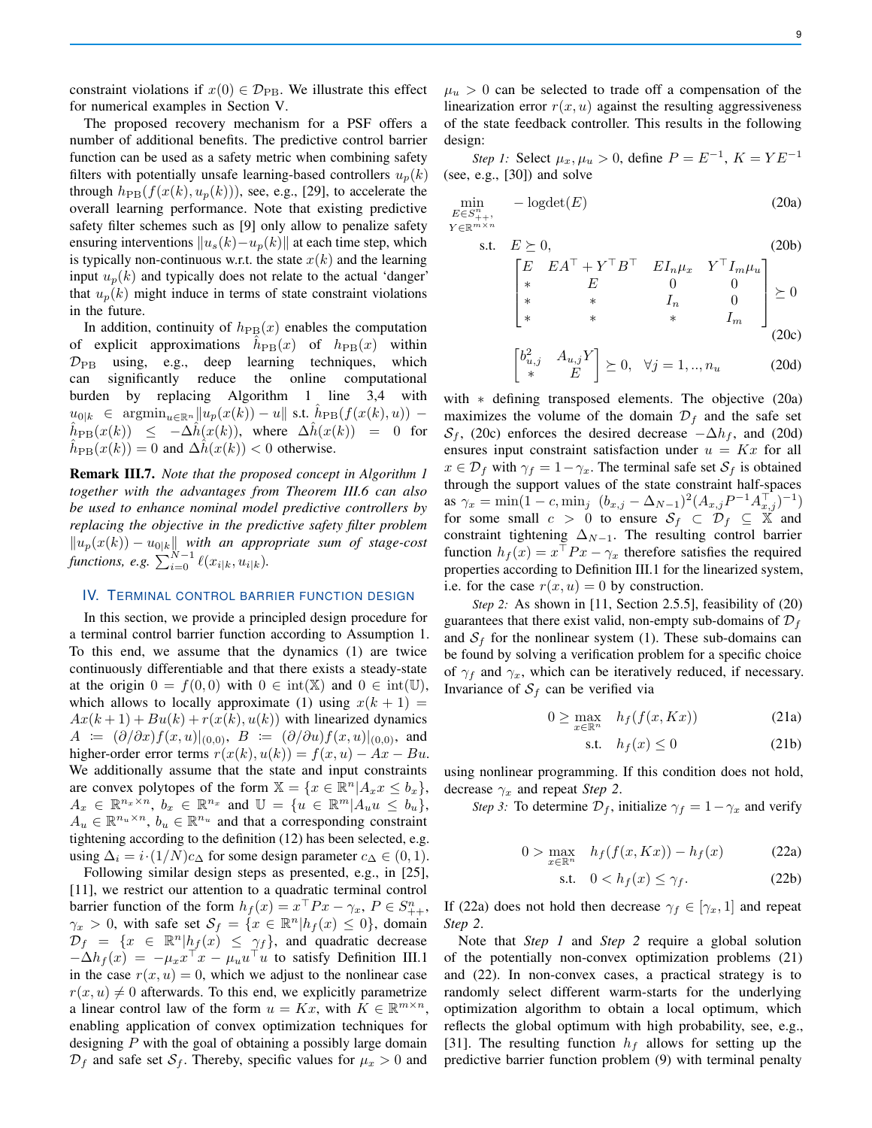constraint violations if  $x(0) \in \mathcal{D}_{\text{PB}}$ . We illustrate this effect for numerical examples in Section V.

The proposed recovery mechanism for a PSF offers a number of additional benefits. The predictive control barrier function can be used as a safety metric when combining safety filters with potentially unsafe learning-based controllers  $u_n(k)$ through  $h_{\text{PB}}(f(x(k), u_p(k)))$ , see, e.g., [29], to accelerate the overall learning performance. Note that existing predictive safety filter schemes such as [9] only allow to penalize safety ensuring interventions  $||u_s(k)-u_p(k)||$  at each time step, which is typically non-continuous w.r.t. the state  $x(k)$  and the learning input  $u_n(k)$  and typically does not relate to the actual 'danger' that  $u_p(k)$  might induce in terms of state constraint violations in the future.

In addition, continuity of  $h_{\text{PB}}(x)$  enables the computation of explicit approximations  $\hat{h}_{\text{PB}}(x)$  of  $h_{\text{PB}}(x)$  within  $\mathcal{D}_{\text{PB}}$  using, e.g., deep learning techniques, which can significantly reduce the online computational burden by replacing Algorithm 1 line 3,4 with  $u_{0|k}$  ∈  $\mathop{\rm argmin}_{u \in \mathbb{R}^n} \|u_p(x(k)) - u\|$  s.t.  $\hat{h}_{\rm PB}(f(x(k), u))$  –  $\hat{h}_{\text{PB}}(x(k)) \leq -\Delta \hat{h}(x(k)),$  where  $\Delta \hat{h}(x(k)) = 0$  for  $\hat{h}_{\text{PB}}(x(k)) = 0$  and  $\Delta \hat{h}(x(k)) < 0$  otherwise.

Remark III.7. *Note that the proposed concept in Algorithm 1 together with the advantages from Theorem III.6 can also be used to enhance nominal model predictive controllers by replacing the objective in the predictive safety filter problem*  $||u_p(x(k)) - u_{0|k}||$  with an appropriate sum of stage-cost *functions, e.g.*  $\sum_{i=0}^{N-1} \ell(x_{i|k}, u_{i|k})$ .

## IV. TERMINAL CONTROL BARRIER FUNCTION DESIGN

In this section, we provide a principled design procedure for a terminal control barrier function according to Assumption 1. To this end, we assume that the dynamics (1) are twice continuously differentiable and that there exists a steady-state at the origin  $0 = f(0,0)$  with  $0 \in \text{int}(\mathbb{X})$  and  $0 \in \text{int}(\mathbb{U})$ , which allows to locally approximate (1) using  $x(k + 1) =$  $Ax(k+1) + Bu(k) + r(x(k), u(k))$  with linearized dynamics  $A := (\partial/\partial x)f(x, u)|_{(0,0)}, B := (\partial/\partial u)f(x, u)|_{(0,0)},$  and higher-order error terms  $r(x(k), u(k)) = f(x, u) - Ax - Bu$ . We additionally assume that the state and input constraints are convex polytopes of the form  $\mathbb{X} = \{x \in \mathbb{R}^n | A_x x \leq b_x\},\$  $A_x \in \mathbb{R}^{n_x \times n}$ ,  $b_x \in \mathbb{R}^{n_x}$  and  $\mathbb{U} = \{u \in \mathbb{R}^m | A_u u \leq b_u\},$  $A_u \in \mathbb{R}^{n_u \times n}$ ,  $b_u \in \mathbb{R}^{n_u}$  and that a corresponding constraint tightening according to the definition (12) has been selected, e.g. using  $\Delta_i = i \cdot (1/N)c_{\Delta}$  for some design parameter  $c_{\Delta} \in (0, 1)$ .

Following similar design steps as presented, e.g., in [25], [11], we restrict our attention to a quadratic terminal control barrier function of the form  $h_f(x) = x^{\top} Px - \gamma_x, P \in S^n_{++},$  $\gamma_x > 0$ , with safe set  $\mathcal{S}_f = \{x \in \mathbb{R}^n | h_f(x) \leq 0\}$ , domain  $\mathcal{D}_f = \{x \in \mathbb{R}^n | h_f(x) \leq \gamma_f\}$ , and quadratic decrease  $-\Delta h_f(x) = -\mu_x x^\top x - \mu_u u^\top u$  to satisfy Definition III.1 in the case  $r(x, u) = 0$ , which we adjust to the nonlinear case  $r(x, u) \neq 0$  afterwards. To this end, we explicitly parametrize a linear control law of the form  $u = Kx$ , with  $K \in \mathbb{R}^{m \times n}$ , enabling application of convex optimization techniques for designing  $P$  with the goal of obtaining a possibly large domain  $\mathcal{D}_f$  and safe set  $\mathcal{S}_f$ . Thereby, specific values for  $\mu_x > 0$  and

 $\mu_u > 0$  can be selected to trade off a compensation of the linearization error  $r(x, u)$  against the resulting aggressiveness of the state feedback controller. This results in the following design:

*Step 1:* Select  $\mu_x, \mu_u > 0$ , define  $P = E^{-1}$ ,  $K = YE^{-1}$ (see, e.g., [30]) and solve

$$
\min_{\substack{E \in S_{++}^n, \\ Y \in \mathbb{R}^{m \times n}}} -\text{logdet}(E) \tag{20a}
$$

s.t. 
$$
E \ge 0
$$
, (20b)  
\n
$$
\begin{bmatrix}\nE & EA^{\top} + Y^{\top}B^{\top} & EI_n\mu_x & Y^{\top}I_m\mu_u \\
* & E & 0 & 0 \\
* & * & I_n & 0 \\
* & * & * & I_m\n\end{bmatrix} \ge 0
$$
\n
$$
\ge 0
$$
\n(20c)

$$
\begin{bmatrix} b_{u,j}^2 & A_{u,j} Y \\ * & E \end{bmatrix} \succeq 0, \quad \forall j = 1, ..., n_u \tag{20d}
$$

with \* defining transposed elements. The objective (20a) maximizes the volume of the domain  $\mathcal{D}_f$  and the safe set  $S_f$ , (20c) enforces the desired decrease  $-\Delta h_f$ , and (20d) ensures input constraint satisfaction under  $u = Kx$  for all  $x \in \mathcal{D}_f$  with  $\gamma_f = 1 - \gamma_x$ . The terminal safe set  $\mathcal{S}_f$  is obtained through the support values of the state constraint half-spaces as  $\gamma_x = \min(1 - c, \min_j \left( b_{x,j} - \Delta_{N-1} \right)^2 (A_{x,j} P^{-1} A_{x,j}^\top)^{-1})$ for some small  $c > 0$  to ensure  $S_f \subset \mathcal{D}_f \subseteq \mathbb{X}$  and constraint tightening  $\Delta_{N-1}$ . The resulting control barrier function  $h_f(x) = x^\top P x - \gamma_x$  therefore satisfies the required properties according to Definition III.1 for the linearized system, i.e. for the case  $r(x, u) = 0$  by construction.

*Step 2:* As shown in [11, Section 2.5.5], feasibility of (20) guarantees that there exist valid, non-empty sub-domains of  $\mathcal{D}_f$ and  $S_f$  for the nonlinear system (1). These sub-domains can be found by solving a verification problem for a specific choice of  $\gamma_f$  and  $\gamma_x$ , which can be iteratively reduced, if necessary. Invariance of  $S_f$  can be verified via

$$
0 \ge \max_{x \in \mathbb{R}^n} \quad h_f(f(x, Kx)) \tag{21a}
$$

$$
\text{s.t.} \quad h_f(x) \le 0 \tag{21b}
$$

using nonlinear programming. If this condition does not hold, decrease  $\gamma_x$  and repeat *Step 2*.

*Step 3:* To determine  $\mathcal{D}_f$ , initialize  $\gamma_f = 1 - \gamma_x$  and verify

$$
0 > \max_{x \in \mathbb{R}^n} \quad h_f(f(x, Kx)) - h_f(x) \tag{22a}
$$

$$
\text{s.t.} \quad 0 < h_f(x) \le \gamma_f. \tag{22b}
$$

If (22a) does not hold then decrease  $\gamma_f \in [\gamma_x, 1]$  and repeat *Step 2*.

Note that *Step 1* and *Step 2* require a global solution of the potentially non-convex optimization problems (21) and (22). In non-convex cases, a practical strategy is to randomly select different warm-starts for the underlying optimization algorithm to obtain a local optimum, which reflects the global optimum with high probability, see, e.g., [31]. The resulting function  $h_f$  allows for setting up the predictive barrier function problem (9) with terminal penalty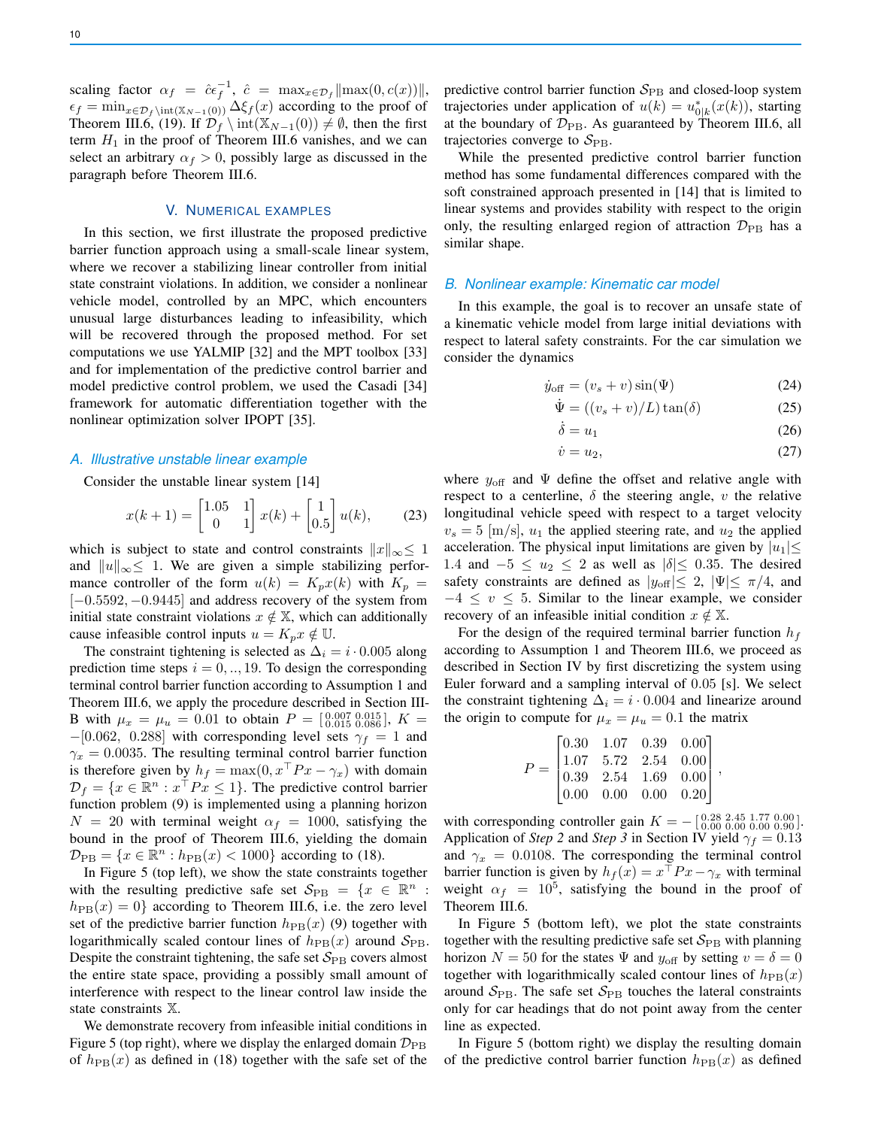scaling factor  $\alpha_f = \hat{c} \epsilon_f^{-1}$ ,  $\hat{c} = \max_{x \in \mathcal{D}_f} ||\max(0, c(x))||$ ,  $\epsilon_f = \min_{x \in \mathcal{D}_f \setminus \text{int}(\mathbb{X}_{N-1}(0))} \Delta \xi_f(x)$  according to the proof of Theorem III.6, (19). If  $\mathcal{D}_f \setminus \text{int}(\mathbb{X}_{N-1}(0)) \neq \emptyset$ , then the first term  $H_1$  in the proof of Theorem III.6 vanishes, and we can select an arbitrary  $\alpha_f > 0$ , possibly large as discussed in the paragraph before Theorem III.6.

## V. NUMERICAL EXAMPLES

In this section, we first illustrate the proposed predictive barrier function approach using a small-scale linear system, where we recover a stabilizing linear controller from initial state constraint violations. In addition, we consider a nonlinear vehicle model, controlled by an MPC, which encounters unusual large disturbances leading to infeasibility, which will be recovered through the proposed method. For set computations we use YALMIP [32] and the MPT toolbox [33] and for implementation of the predictive control barrier and model predictive control problem, we used the Casadi [34] framework for automatic differentiation together with the nonlinear optimization solver IPOPT [35].

## *A. Illustrative unstable linear example*

Consider the unstable linear system [14]

$$
x(k+1) = \begin{bmatrix} 1.05 & 1 \\ 0 & 1 \end{bmatrix} x(k) + \begin{bmatrix} 1 \\ 0.5 \end{bmatrix} u(k), \quad (23)
$$

which is subject to state and control constraints  $||x||_{\infty} \leq 1$ and  $||u||_{\infty} \leq 1$ . We are given a simple stabilizing performance controller of the form  $u(k) = K_p x(k)$  with  $K_p =$ [-0.5592, -0.9445] and address recovery of the system from initial state constraint violations  $x \notin \mathbb{X}$ , which can additionally cause infeasible control inputs  $u = K_p x \notin \mathbb{U}$ .

The constraint tightening is selected as  $\Delta_i = i \cdot 0.005$  along prediction time steps  $i = 0, \dots, 19$ . To design the corresponding terminal control barrier function according to Assumption 1 and Theorem III.6, we apply the procedure described in Section III-B with  $\mu_x = \mu_u = 0.01$  to obtain  $P = \begin{bmatrix} 0.007 & 0.015 \\ 0.015 & 0.086 \end{bmatrix}$ ,  $K =$  $-[0.062, 0.288]$  with corresponding level sets  $\gamma_f = 1$  and  $\gamma_x = 0.0035$ . The resulting terminal control barrier function is therefore given by  $h_f = \max(0, x \mid Px - \gamma_x)$  with domain  $\mathcal{D}_f = \{x \in \mathbb{R}^n : x^{\top} P x \leq 1\}$ . The predictive control barrier function problem (9) is implemented using a planning horizon  $N = 20$  with terminal weight  $\alpha_f = 1000$ , satisfying the bound in the proof of Theorem III.6, yielding the domain  $\mathcal{D}_{\text{PB}} = \{x \in \mathbb{R}^n : h_{\text{PB}}(x) < 1000\}$  according to (18).

In Figure 5 (top left), we show the state constraints together with the resulting predictive safe set  $\mathcal{S}_{\text{PB}} = \{x \in \mathbb{R}^n :$  $h_{\text{PB}}(x) = 0$  according to Theorem III.6, i.e. the zero level set of the predictive barrier function  $h_{\text{PB}}(x)$  (9) together with logarithmically scaled contour lines of  $h_{\text{PB}}(x)$  around  $S_{\text{PB}}$ . Despite the constraint tightening, the safe set  $S_{\rm PB}$  covers almost the entire state space, providing a possibly small amount of interference with respect to the linear control law inside the state constraints X.

We demonstrate recovery from infeasible initial conditions in Figure 5 (top right), where we display the enlarged domain  $\mathcal{D}_{\text{PB}}$ of  $h_{\text{PB}}(x)$  as defined in (18) together with the safe set of the predictive control barrier function  $S_{\rm PB}$  and closed-loop system trajectories under application of  $u(k) = u_{0|k}^*(x(k))$ , starting at the boundary of  $\mathcal{D}_{\text{PB}}$ . As guaranteed by Theorem III.6, all trajectories converge to  $S_{\rm PB}$ .

While the presented predictive control barrier function method has some fundamental differences compared with the soft constrained approach presented in [14] that is limited to linear systems and provides stability with respect to the origin only, the resulting enlarged region of attraction  $\mathcal{D}_{\text{PB}}$  has a similar shape.

#### *B. Nonlinear example: Kinematic car model*

In this example, the goal is to recover an unsafe state of a kinematic vehicle model from large initial deviations with respect to lateral safety constraints. For the car simulation we consider the dynamics

$$
\dot{y}_{\text{off}} = (v_s + v)\sin(\Psi) \tag{24}
$$

$$
\dot{\Psi} = ((v_s + v)/L)\tan(\delta) \tag{25}
$$

$$
\dot{\delta} = u_1 \tag{26}
$$

$$
\dot{v} = u_2,\tag{27}
$$

where  $y_{\text{off}}$  and  $\Psi$  define the offset and relative angle with respect to a centerline,  $\delta$  the steering angle, v the relative longitudinal vehicle speed with respect to a target velocity  $v_s = 5$  [m/s],  $u_1$  the applied steering rate, and  $u_2$  the applied acceleration. The physical input limitations are given by  $|u_1| \leq$ 1.4 and  $-5 \le u_2 \le 2$  as well as  $|\delta| \le 0.35$ . The desired safety constraints are defined as  $|y_{\text{off}}| \leq 2$ ,  $|\Psi| \leq \pi/4$ , and  $-4 \leq v \leq 5$ . Similar to the linear example, we consider recovery of an infeasible initial condition  $x \notin \mathbb{X}$ .

For the design of the required terminal barrier function  $h_f$ according to Assumption 1 and Theorem III.6, we proceed as described in Section IV by first discretizing the system using Euler forward and a sampling interval of 0.05 [s]. We select the constraint tightening  $\Delta_i = i \cdot 0.004$  and linearize around the origin to compute for  $\mu_x = \mu_u = 0.1$  the matrix

$$
P = \begin{bmatrix} 0.30 & 1.07 & 0.39 & 0.00 \\ 1.07 & 5.72 & 2.54 & 0.00 \\ 0.39 & 2.54 & 1.69 & 0.00 \\ 0.00 & 0.00 & 0.00 & 0.20 \end{bmatrix},
$$

with corresponding controller gain  $K = -\begin{bmatrix} 0.28 & 2.45 & 1.77 & 0.00 \\ 0.00 & 0.00 & 0.00 & 0.90 \end{bmatrix}$ . Application of *Step 2* and *Step 3* in Section IV yield  $\gamma_f = 0.13$ and  $\gamma_x = 0.0108$ . The corresponding the terminal control barrier function is given by  $h_f(x) = x^{\top} P x - \gamma_x$  with terminal weight  $\alpha_f = 10^5$ , satisfying the bound in the proof of Theorem III.6.

In Figure 5 (bottom left), we plot the state constraints together with the resulting predictive safe set  $S_{\rm PB}$  with planning horizon  $N = 50$  for the states  $\Psi$  and  $y_{\text{off}}$  by setting  $v = \delta = 0$ together with logarithmically scaled contour lines of  $h_{\text{PB}}(x)$ around  $S_{\rm PB}$ . The safe set  $S_{\rm PB}$  touches the lateral constraints only for car headings that do not point away from the center line as expected.

In Figure 5 (bottom right) we display the resulting domain of the predictive control barrier function  $h_{\text{PB}}(x)$  as defined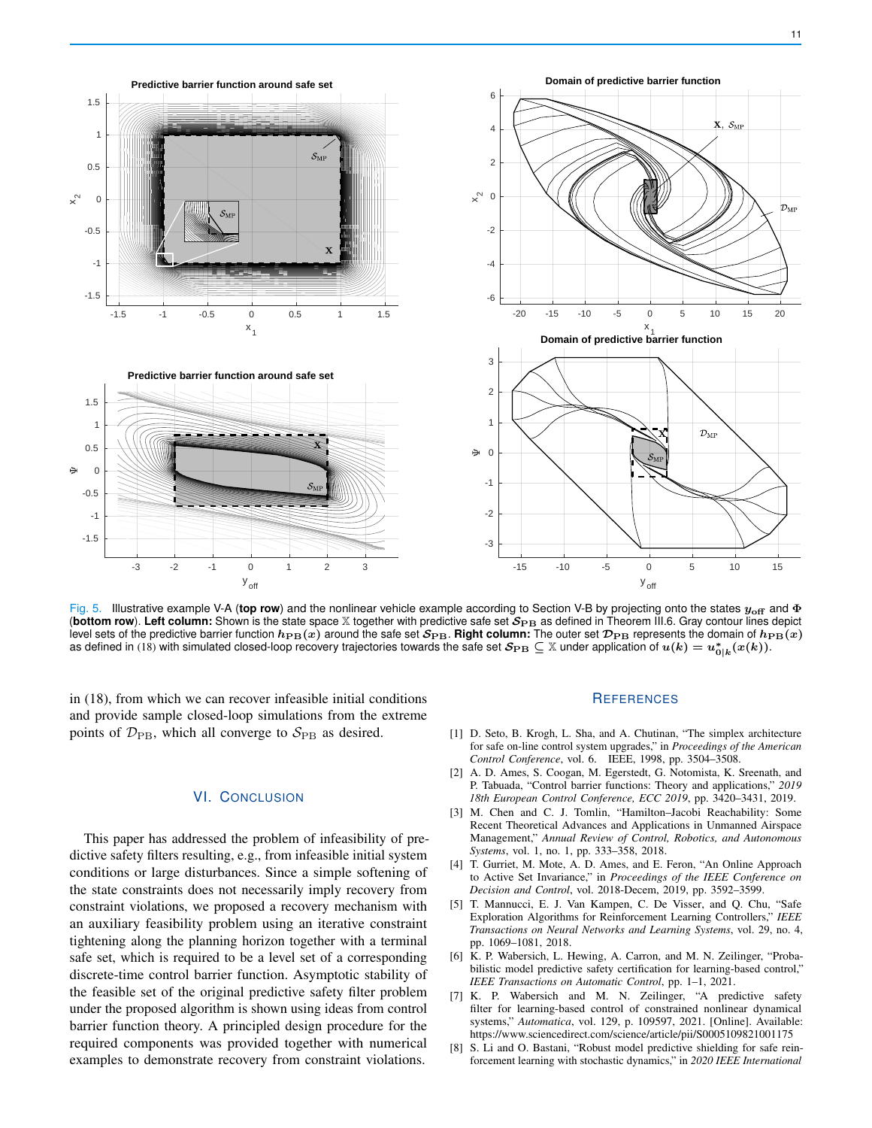

Fig. 5. Illustrative example V-A (**top row**) and the nonlinear vehicle example according to Section V-B by projecting onto the states yoff and Φ (bottom row). Left column: Shown is the state space X together with predictive safe set  $S_{\rm PB}$  as defined in Theorem III.6. Gray contour lines depict level sets of the predictive barrier function  $h_{\text{PB}}(x)$  around the safe set  $S_{\text{PB}}$ . Right column: The outer set  $\mathcal{D}_{\text{PB}}$  represents the domain of  $h_{\text{PB}}(x)$ as defined in (18) with simulated closed-loop recovery trajectories towards the safe set  $\mathcal{S}_{\rm PB}\subseteq\mathbb{X}$  under application of  $u(k)=u_{0|k}^*(x(k)).$ 

in (18), from which we can recover infeasible initial conditions and provide sample closed-loop simulations from the extreme points of  $\mathcal{D}_{\text{PB}}$ , which all converge to  $\mathcal{S}_{\text{PB}}$  as desired.

# VI. CONCLUSION

This paper has addressed the problem of infeasibility of predictive safety filters resulting, e.g., from infeasible initial system conditions or large disturbances. Since a simple softening of the state constraints does not necessarily imply recovery from constraint violations, we proposed a recovery mechanism with an auxiliary feasibility problem using an iterative constraint tightening along the planning horizon together with a terminal safe set, which is required to be a level set of a corresponding discrete-time control barrier function. Asymptotic stability of the feasible set of the original predictive safety filter problem under the proposed algorithm is shown using ideas from control barrier function theory. A principled design procedure for the required components was provided together with numerical examples to demonstrate recovery from constraint violations.

## **REFERENCES**

- [1] D. Seto, B. Krogh, L. Sha, and A. Chutinan, "The simplex architecture for safe on-line control system upgrades," in *Proceedings of the American Control Conference*, vol. 6. IEEE, 1998, pp. 3504–3508.
- [2] A. D. Ames, S. Coogan, M. Egerstedt, G. Notomista, K. Sreenath, and P. Tabuada, "Control barrier functions: Theory and applications," *2019 18th European Control Conference, ECC 2019*, pp. 3420–3431, 2019.
- [3] M. Chen and C. J. Tomlin, "Hamilton–Jacobi Reachability: Some Recent Theoretical Advances and Applications in Unmanned Airspace Management," *Annual Review of Control, Robotics, and Autonomous Systems*, vol. 1, no. 1, pp. 333–358, 2018.
- [4] T. Gurriet, M. Mote, A. D. Ames, and E. Feron, "An Online Approach to Active Set Invariance," in *Proceedings of the IEEE Conference on Decision and Control*, vol. 2018-Decem, 2019, pp. 3592–3599.
- [5] T. Mannucci, E. J. Van Kampen, C. De Visser, and Q. Chu, "Safe Exploration Algorithms for Reinforcement Learning Controllers," *IEEE Transactions on Neural Networks and Learning Systems*, vol. 29, no. 4, pp. 1069–1081, 2018.
- [6] K. P. Wabersich, L. Hewing, A. Carron, and M. N. Zeilinger, "Probabilistic model predictive safety certification for learning-based control," *IEEE Transactions on Automatic Control*, pp. 1–1, 2021.
- [7] K. P. Wabersich and M. N. Zeilinger, "A predictive safety filter for learning-based control of constrained nonlinear dynamical systems," *Automatica*, vol. 129, p. 109597, 2021. [Online]. Available: https://www.sciencedirect.com/science/article/pii/S0005109821001175
- [8] S. Li and O. Bastani, "Robust model predictive shielding for safe reinforcement learning with stochastic dynamics," in *2020 IEEE International*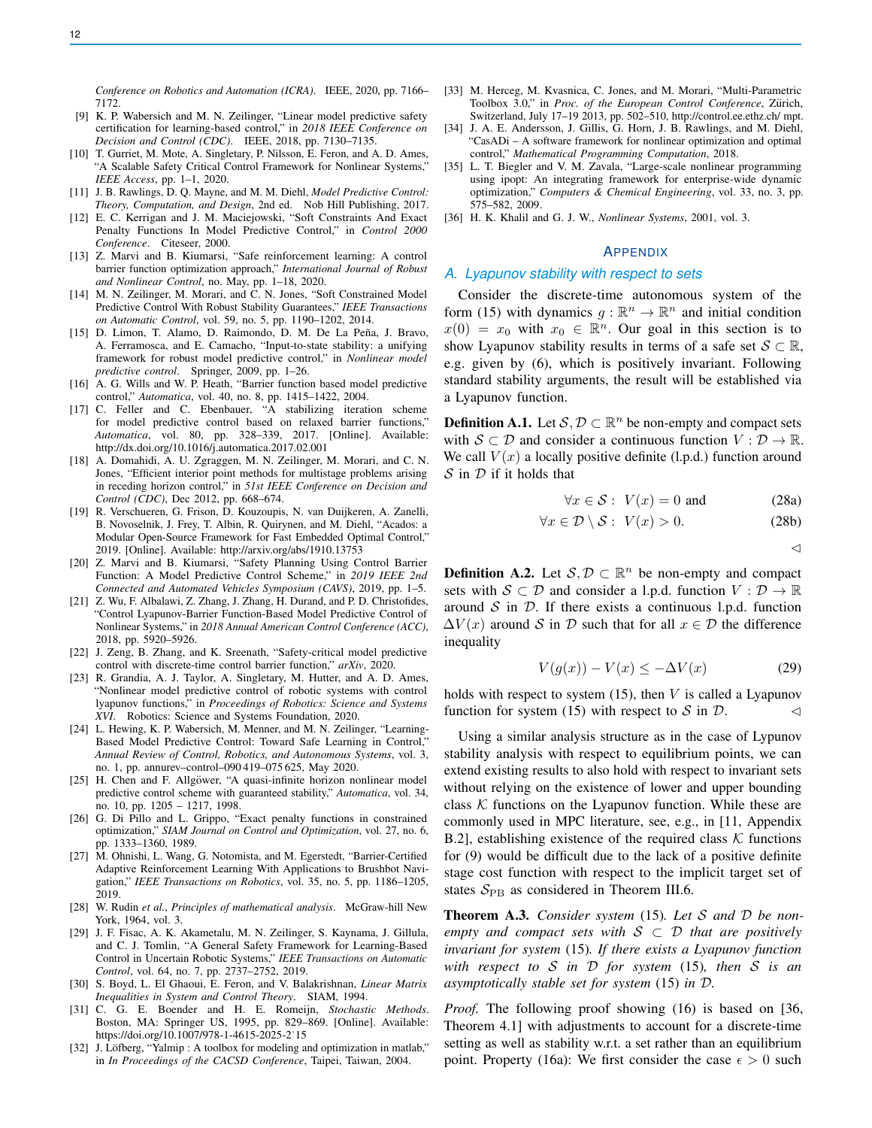*Conference on Robotics and Automation (ICRA)*. IEEE, 2020, pp. 7166– 7172.

- [9] K. P. Wabersich and M. N. Zeilinger, "Linear model predictive safety certification for learning-based control," in *2018 IEEE Conference on Decision and Control (CDC)*. IEEE, 2018, pp. 7130–7135.
- [10] T. Gurriet, M. Mote, A. Singletary, P. Nilsson, E. Feron, and A. D. Ames, "A Scalable Safety Critical Control Framework for Nonlinear Systems," *IEEE Access*, pp. 1–1, 2020.
- [11] J. B. Rawlings, D. Q. Mayne, and M. M. Diehl, *Model Predictive Control: Theory, Computation, and Design*, 2nd ed. Nob Hill Publishing, 2017.
- [12] E. C. Kerrigan and J. M. Maciejowski, "Soft Constraints And Exact Penalty Functions In Model Predictive Control," in *Control 2000 Conference*. Citeseer, 2000.
- [13] Z. Marvi and B. Kiumarsi, "Safe reinforcement learning: A control barrier function optimization approach," *International Journal of Robust and Nonlinear Control*, no. May, pp. 1–18, 2020.
- [14] M. N. Zeilinger, M. Morari, and C. N. Jones, "Soft Constrained Model Predictive Control With Robust Stability Guarantees," *IEEE Transactions on Automatic Control*, vol. 59, no. 5, pp. 1190–1202, 2014.
- [15] D. Limon, T. Alamo, D. Raimondo, D. M. De La Peña, J. Bravo, A. Ferramosca, and E. Camacho, "Input-to-state stability: a unifying framework for robust model predictive control," in *Nonlinear model predictive control*. Springer, 2009, pp. 1–26.
- [16] A. G. Wills and W. P. Heath, "Barrier function based model predictive control," *Automatica*, vol. 40, no. 8, pp. 1415–1422, 2004.
- [17] C. Feller and C. Ebenbauer, "A stabilizing iteration scheme for model predictive control based on relaxed barrier functions," *Automatica*, vol. 80, pp. 328–339, 2017. [Online]. Available: http://dx.doi.org/10.1016/j.automatica.2017.02.001
- [18] A. Domahidi, A. U. Zgraggen, M. N. Zeilinger, M. Morari, and C. N. Jones, "Efficient interior point methods for multistage problems arising in receding horizon control," in *51st IEEE Conference on Decision and Control (CDC)*, Dec 2012, pp. 668–674.
- [19] R. Verschueren, G. Frison, D. Kouzoupis, N. van Duijkeren, A. Zanelli, B. Novoselnik, J. Frey, T. Albin, R. Quirynen, and M. Diehl, "Acados: a Modular Open-Source Framework for Fast Embedded Optimal Control," 2019. [Online]. Available: http://arxiv.org/abs/1910.13753
- [20] Z. Marvi and B. Kiumarsi, "Safety Planning Using Control Barrier Function: A Model Predictive Control Scheme," in *2019 IEEE 2nd Connected and Automated Vehicles Symposium (CAVS)*, 2019, pp. 1–5.
- [21] Z. Wu, F. Albalawi, Z. Zhang, J. Zhang, H. Durand, and P. D. Christofides, "Control Lyapunov-Barrier Function-Based Model Predictive Control of Nonlinear Systems," in *2018 Annual American Control Conference (ACC)*, 2018, pp. 5920–5926.
- [22] J. Zeng, B. Zhang, and K. Sreenath, "Safety-critical model predictive control with discrete-time control barrier function," *arXiv*, 2020.
- [23] R. Grandia, A. J. Taylor, A. Singletary, M. Hutter, and A. D. Ames, "Nonlinear model predictive control of robotic systems with control lyapunov functions," in *Proceedings of Robotics: Science and Systems XVI*. Robotics: Science and Systems Foundation, 2020.
- [24] L. Hewing, K. P. Wabersich, M. Menner, and M. N. Zeilinger, "Learning-Based Model Predictive Control: Toward Safe Learning in Control," *Annual Review of Control, Robotics, and Autonomous Systems*, vol. 3, no. 1, pp. annurev–control–090 419–075 625, May 2020.
- [25] H. Chen and F. Allgöwer, "A quasi-infinite horizon nonlinear model predictive control scheme with guaranteed stability," *Automatica*, vol. 34, no. 10, pp. 1205 – 1217, 1998.
- [26] G. Di Pillo and L. Grippo, "Exact penalty functions in constrained optimization," *SIAM Journal on Control and Optimization*, vol. 27, no. 6, pp. 1333–1360, 1989.
- [27] M. Ohnishi, L. Wang, G. Notomista, and M. Egerstedt, "Barrier-Certified" Adaptive Reinforcement Learning With Applications to Brushbot Navigation," *IEEE Transactions on Robotics*, vol. 35, no. 5, pp. 1186–1205, 2019.
- [28] W. Rudin *et al.*, *Principles of mathematical analysis*. McGraw-hill New York, 1964, vol. 3.
- [29] J. F. Fisac, A. K. Akametalu, M. N. Zeilinger, S. Kaynama, J. Gillula, and C. J. Tomlin, "A General Safety Framework for Learning-Based Control in Uncertain Robotic Systems," *IEEE Transactions on Automatic Control*, vol. 64, no. 7, pp. 2737–2752, 2019.
- [30] S. Boyd, L. El Ghaoui, E. Feron, and V. Balakrishnan, *Linear Matrix Inequalities in System and Control Theory*. SIAM, 1994.
- [31] C. G. E. Boender and H. E. Romeijn, *Stochastic Methods*. Boston, MA: Springer US, 1995, pp. 829–869. [Online]. Available: https://doi.org/10.1007/978-1-4615-2025-2˙15
- [32] J. Löfberg, "Yalmip : A toolbox for modeling and optimization in matlab," in *In Proceedings of the CACSD Conference*, Taipei, Taiwan, 2004.
- [33] M. Herceg, M. Kvasnica, C. Jones, and M. Morari, "Multi-Parametric Toolbox 3.0," in *Proc. of the European Control Conference*, Zürich, Switzerland, July 17–19 2013, pp. 502–510, http://control.ee.ethz.ch/ mpt.
- [34] J. A. E. Andersson, J. Gillis, G. Horn, J. B. Rawlings, and M. Diehl, "CasADi – A software framework for nonlinear optimization and optimal control," *Mathematical Programming Computation*, 2018.
- [35] L. T. Biegler and V. M. Zavala, "Large-scale nonlinear programming using ipopt: An integrating framework for enterprise-wide dynamic optimization," *Computers & Chemical Engineering*, vol. 33, no. 3, pp. 575–582, 2009.
- [36] H. K. Khalil and G. J. W., *Nonlinear Systems*, 2001, vol. 3.

#### APPENDIX

#### *A. Lyapunov stability with respect to sets*

Consider the discrete-time autonomous system of the form (15) with dynamics  $g : \mathbb{R}^n \to \mathbb{R}^n$  and initial condition  $x(0) = x_0$  with  $x_0 \in \mathbb{R}^n$ . Our goal in this section is to show Lyapunov stability results in terms of a safe set  $S \subset \mathbb{R}$ , e.g. given by (6), which is positively invariant. Following standard stability arguments, the result will be established via a Lyapunov function.

**Definition A.1.** Let  $S, D \subset \mathbb{R}^n$  be non-empty and compact sets with  $S \subset \mathcal{D}$  and consider a continuous function  $V : \mathcal{D} \to \mathbb{R}$ . We call  $V(x)$  a locally positive definite (l.p.d.) function around  $S$  in  $D$  if it holds that

$$
\forall x \in \mathcal{S} : V(x) = 0 \text{ and } (28a)
$$

$$
\forall x \in \mathcal{D} \setminus \mathcal{S}: V(x) > 0. \tag{28b}
$$

$$
\triangle
$$

**Definition A.2.** Let  $S, D \subset \mathbb{R}^n$  be non-empty and compact sets with  $S \subset \mathcal{D}$  and consider a l.p.d. function  $V : \mathcal{D} \to \mathbb{R}$ around  $S$  in  $D$ . If there exists a continuous l.p.d. function  $\Delta V(x)$  around S in D such that for all  $x \in \mathcal{D}$  the difference inequality

$$
V(g(x)) - V(x) \le -\Delta V(x) \tag{29}
$$

holds with respect to system  $(15)$ , then V is called a Lyapunov function for system (15) with respect to  $S$  in  $D$ .

Using a similar analysis structure as in the case of Lypunov stability analysis with respect to equilibrium points, we can extend existing results to also hold with respect to invariant sets without relying on the existence of lower and upper bounding class  $K$  functions on the Lyapunov function. While these are commonly used in MPC literature, see, e.g., in [11, Appendix B.2], establishing existence of the required class  $K$  functions for (9) would be difficult due to the lack of a positive definite stage cost function with respect to the implicit target set of states  $S_{\rm PB}$  as considered in Theorem III.6.

Theorem A.3. *Consider system* (15)*. Let* S *and* D *be nonempty and compact sets with*  $S \subset D$  *that are positively invariant for system* (15)*. If there exists a Lyapunov function with respect to* S *in* D *for system* (15)*, then* S *is an asymptotically stable set for system* (15) *in* D*.*

*Proof.* The following proof showing (16) is based on [36, Theorem 4.1] with adjustments to account for a discrete-time setting as well as stability w.r.t. a set rather than an equilibrium point. Property (16a): We first consider the case  $\epsilon > 0$  such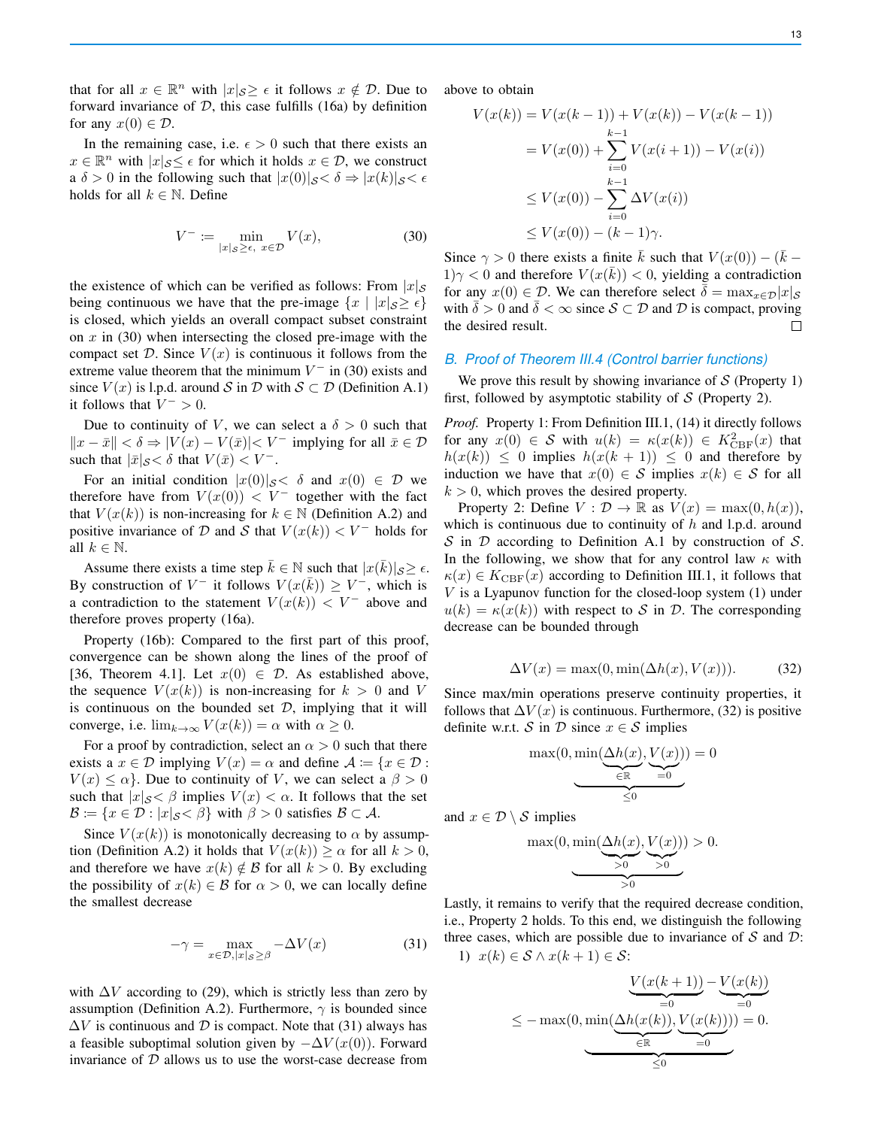that for all  $x \in \mathbb{R}^n$  with  $|x|_{\mathcal{S}} \geq \epsilon$  it follows  $x \notin \mathcal{D}$ . Due to forward invariance of  $D$ , this case fulfills (16a) by definition for any  $x(0) \in \mathcal{D}$ .

In the remaining case, i.e.  $\epsilon > 0$  such that there exists an  $x \in \mathbb{R}^n$  with  $|x|_{\mathcal{S}} \leq \epsilon$  for which it holds  $x \in \mathcal{D}$ , we construct a  $\delta > 0$  in the following such that  $|x(0)|_{\mathcal{S}} < \delta \Rightarrow |x(k)|_{\mathcal{S}} < \epsilon$ holds for all  $k \in \mathbb{N}$ . Define

$$
V^- := \min_{|x|_{\mathcal{S}} \ge \epsilon, \ x \in \mathcal{D}} V(x), \tag{30}
$$

the existence of which can be verified as follows: From  $|x|_{\mathcal{S}}$ being continuous we have that the pre-image  $\{x \mid |x|_{\mathcal{S}} \geq \epsilon\}$ is closed, which yields an overall compact subset constraint on  $x$  in (30) when intersecting the closed pre-image with the compact set D. Since  $V(x)$  is continuous it follows from the extreme value theorem that the minimum  $V^-$  in (30) exists and since  $V(x)$  is l.p.d. around S in D with  $S \subset \mathcal{D}$  (Definition A.1) it follows that  $V^- > 0$ .

Due to continuity of V, we can select a  $\delta > 0$  such that  $||x - \bar{x}|| < \delta \Rightarrow |V(x) - V(\bar{x})| < V^{-}$  implying for all  $\bar{x} \in \mathcal{D}$ such that  $|\bar{x}|_{\mathcal{S}} < \delta$  that  $V(\bar{x}) < V^{-}$ .

For an initial condition  $|x(0)|_{\mathcal{S}} < \delta$  and  $x(0) \in \mathcal{D}$  we therefore have from  $V(x(0)) < V^-$  together with the fact that  $V(x(k))$  is non-increasing for  $k \in \mathbb{N}$  (Definition A.2) and positive invariance of D and S that  $V(x(k)) < V^-$  holds for all  $k \in \mathbb{N}$ .

Assume there exists a time step  $\bar{k} \in \mathbb{N}$  such that  $|x(\bar{k})|_{\mathcal{S}} \geq \epsilon$ . By construction of  $V^-$  it follows  $V(x(\bar{k})) \geq V^-$ , which is a contradiction to the statement  $V(x(k)) < V^-$  above and therefore proves property (16a).

Property (16b): Compared to the first part of this proof, convergence can be shown along the lines of the proof of [36, Theorem 4.1]. Let  $x(0) \in \mathcal{D}$ . As established above, the sequence  $V(x(k))$  is non-increasing for  $k > 0$  and V is continuous on the bounded set  $D$ , implying that it will converge, i.e.  $\lim_{k\to\infty} V(x(k)) = \alpha$  with  $\alpha \geq 0$ .

For a proof by contradiction, select an  $\alpha > 0$  such that there exists a  $x \in \mathcal{D}$  implying  $V(x) = \alpha$  and define  $\mathcal{A} := \{x \in \mathcal{D} :$  $V(x) \leq \alpha$ . Due to continuity of V, we can select a  $\beta > 0$ such that  $|x|_{\mathcal{S}} \leq \beta$  implies  $V(x) < \alpha$ . It follows that the set  $\mathcal{B} := \{x \in \mathcal{D} : |x|_{\mathcal{S}} \leq \beta\}$  with  $\beta > 0$  satisfies  $\mathcal{B} \subset \mathcal{A}$ .

Since  $V(x(k))$  is monotonically decreasing to  $\alpha$  by assumption (Definition A.2) it holds that  $V(x(k)) \ge \alpha$  for all  $k > 0$ , and therefore we have  $x(k) \notin \mathcal{B}$  for all  $k > 0$ . By excluding the possibility of  $x(k) \in \mathcal{B}$  for  $\alpha > 0$ , we can locally define the smallest decrease

$$
-\gamma = \max_{x \in \mathcal{D}, |x|_{\mathcal{S}} \ge \beta} -\Delta V(x) \tag{31}
$$

with  $\Delta V$  according to (29), which is strictly less than zero by assumption (Definition A.2). Furthermore,  $\gamma$  is bounded since  $\Delta V$  is continuous and D is compact. Note that (31) always has a feasible suboptimal solution given by  $-\Delta V(x(0))$ . Forward invariance of  $D$  allows us to use the worst-case decrease from above to obtain

$$
V(x(k)) = V(x(k-1)) + V(x(k)) - V(x(k-1))
$$
  
=  $V(x(0)) + \sum_{i=0}^{k-1} V(x(i+1)) - V(x(i))$   
 $\leq V(x(0)) - \sum_{i=0}^{k-1} \Delta V(x(i))$   
 $\leq V(x(0)) - (k-1)\gamma.$ 

Since  $\gamma > 0$  there exists a finite  $\bar{k}$  such that  $V(x(0)) - (\bar{k} - \bar{k})$  $1/\gamma < 0$  and therefore  $V(x(\bar{k})) < 0$ , yielding a contradiction for any  $x(0) \in \mathcal{D}$ . We can therefore select  $\delta = \max_{x \in \mathcal{D}} |x|_{\mathcal{S}}$ with  $\delta > 0$  and  $\delta < \infty$  since  $S \subset \mathcal{D}$  and  $\mathcal{D}$  is compact, proving the desired result.  $\Box$ 

## *B. Proof of Theorem III.4 (Control barrier functions)*

We prove this result by showing invariance of  $S$  (Property 1) first, followed by asymptotic stability of  $S$  (Property 2).

*Proof.* Property 1: From Definition III.1, (14) it directly follows for any  $x(0) \in S$  with  $u(k) = \kappa(x(k)) \in K_{\text{CBF}}^2(x)$  that  $h(x(k)) \leq 0$  implies  $h(x(k + 1)) \leq 0$  and therefore by induction we have that  $x(0) \in S$  implies  $x(k) \in S$  for all  $k > 0$ , which proves the desired property.

Property 2: Define  $V : \mathcal{D} \to \mathbb{R}$  as  $V(x) = \max(0, h(x)),$ which is continuous due to continuity of  $h$  and l.p.d. around S in D according to Definition A.1 by construction of S. In the following, we show that for any control law  $\kappa$  with  $\kappa(x) \in K_{\text{CBF}}(x)$  according to Definition III.1, it follows that V is a Lyapunov function for the closed-loop system (1) under  $u(k) = \kappa(x(k))$  with respect to S in D. The corresponding decrease can be bounded through

$$
\Delta V(x) = \max(0, \min(\Delta h(x), V(x))). \tag{32}
$$

Since max/min operations preserve continuity properties, it follows that  $\Delta V(x)$  is continuous. Furthermore, (32) is positive definite w.r.t. S in D since  $x \in S$  implies

$$
\max(0, \min(\underbrace{\Delta h(x)}_{\in \mathbb{R}}, \underbrace{V(x)}_{=0}) ) = 0
$$

and  $x \in \mathcal{D} \setminus \mathcal{S}$  implies

$$
\max(0, \min(\underbrace{\Delta h(x)}_{>0}, \underbrace{V(x)}_{>0}) ) > 0.
$$

Lastly, it remains to verify that the required decrease condition, i.e., Property 2 holds. To this end, we distinguish the following three cases, which are possible due to invariance of  $S$  and  $D$ : 1)  $x(k) \in S \wedge x(k+1) \in S$ :

$$
\leq -\max(0, \min(\underbrace{\Delta h(x(k)), V(x(k)))}_{\leq 0}) = 0.
$$